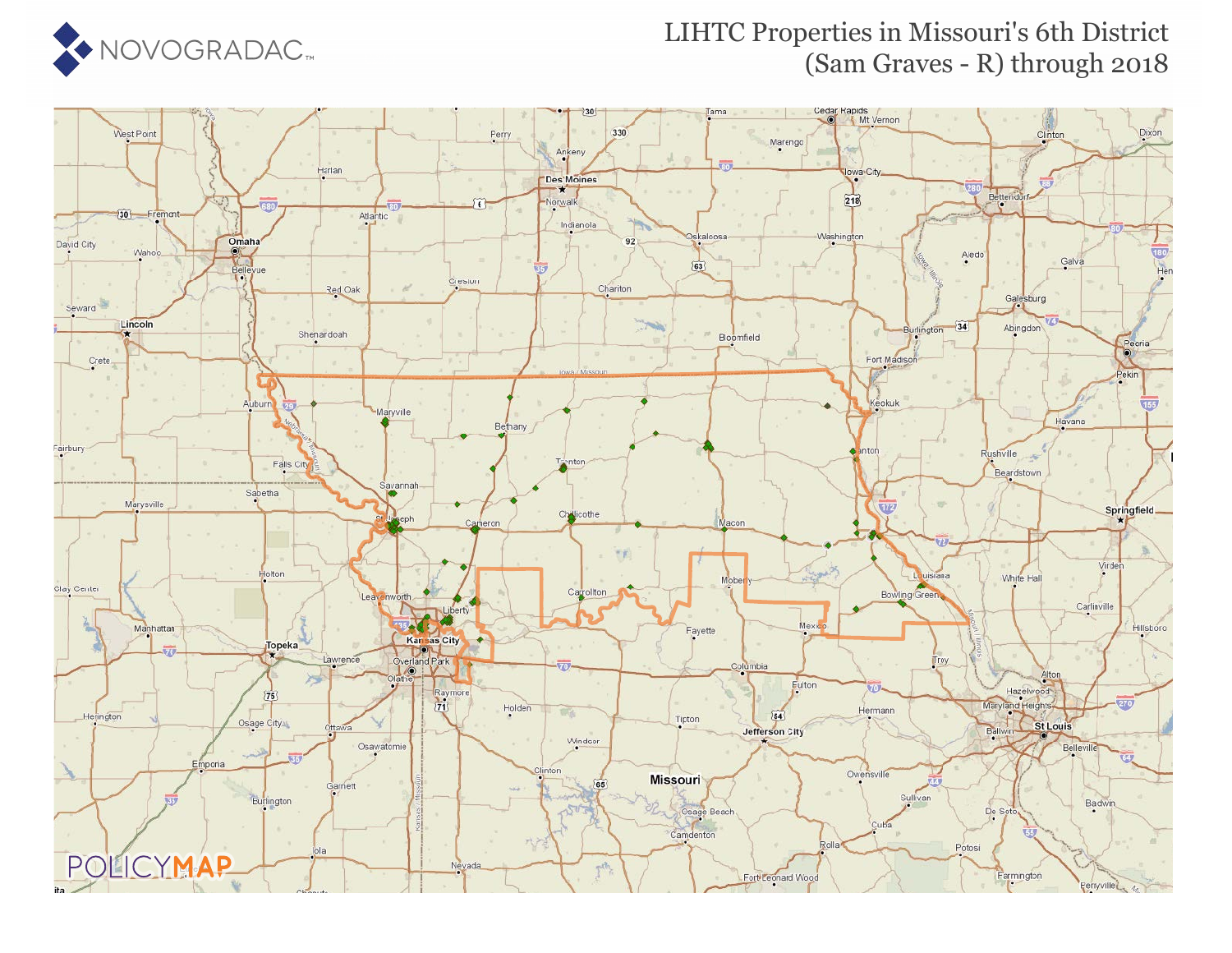

## LIHTC Properties in Missouri's 6th District (Sam Graves - R) through 2018

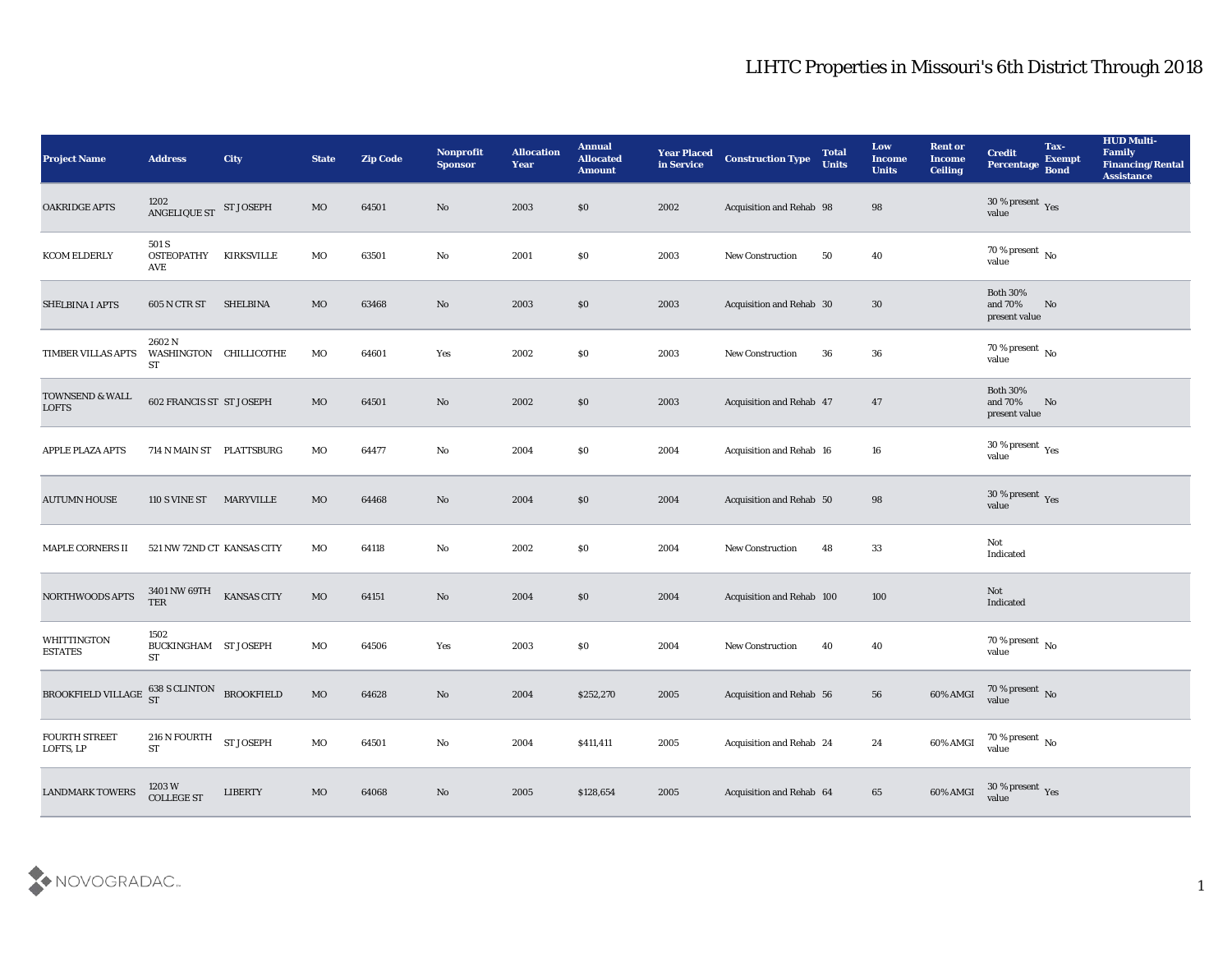| <b>Project Name</b>                                  | <b>Address</b>                            | <b>City</b>        | <b>State</b> | <b>Zip Code</b> | <b>Nonprofit</b><br><b>Sponsor</b> | <b>Allocation</b><br><b>Year</b> | <b>Annual</b><br><b>Allocated</b><br><b>Amount</b> | <b>Year Placed</b><br>in Service | <b>Construction Type</b>        | <b>Total</b><br><b>Units</b> | Low<br><b>Income</b><br><b>Units</b> | <b>Rent or</b><br><b>Income</b><br><b>Ceiling</b> | <b>Credit</b><br><b>Percentage</b>          | Tax-<br><b>Exempt</b><br><b>Bond</b> | <b>HUD Multi-</b><br>Family<br><b>Financing/Rental</b><br><b>Assistance</b> |
|------------------------------------------------------|-------------------------------------------|--------------------|--------------|-----------------|------------------------------------|----------------------------------|----------------------------------------------------|----------------------------------|---------------------------------|------------------------------|--------------------------------------|---------------------------------------------------|---------------------------------------------|--------------------------------------|-----------------------------------------------------------------------------|
| <b>OAKRIDGE APTS</b>                                 | 1202<br>ANGELIQUE ST                      | <b>ST JOSEPH</b>   | MO           | 64501           | No                                 | 2003                             | \$0                                                | 2002                             | Acquisition and Rehab 98        |                              | 98                                   |                                                   | $30\,\%$ present $\,$ Yes value             |                                      |                                                                             |
| <b>KCOM ELDERLY</b>                                  | 501 S<br><b>OSTEOPATHY</b><br>AVE         | <b>KIRKSVILLE</b>  | MO           | 63501           | No                                 | 2001                             | \$0                                                | 2003                             | <b>New Construction</b>         | 50                           | 40                                   |                                                   | 70 % present $\,$ No $\,$<br>value          |                                      |                                                                             |
| <b>SHELBINA I APTS</b>                               | 605 N CTR ST                              | <b>SHELBINA</b>    | MO           | 63468           | No                                 | 2003                             | \$0                                                | 2003                             | Acquisition and Rehab 30        |                              | 30                                   |                                                   | <b>Both 30%</b><br>and 70%<br>present value | No                                   |                                                                             |
| TIMBER VILLAS APTS                                   | 2602N<br>WASHINGTON CHILLICOTHE<br>ST     |                    | MO           | 64601           | Yes                                | 2002                             | \$0                                                | 2003                             | New Construction                | 36                           | 36                                   |                                                   | $70\,\%$ present $\,$ No value              |                                      |                                                                             |
| TOWNSEND & WALL<br><b>LOFTS</b>                      | 602 FRANCIS ST ST JOSEPH                  |                    | MO           | 64501           | No                                 | 2002                             | \$0                                                | 2003                             | Acquisition and Rehab 47        |                              | 47                                   |                                                   | <b>Both 30%</b><br>and 70%<br>present value | No                                   |                                                                             |
| APPLE PLAZA APTS                                     | 714 N MAIN ST PLATTSBURG                  |                    | MO           | 64477           | No                                 | 2004                             | \$0                                                | 2004                             | Acquisition and Rehab 16        |                              | 16                                   |                                                   | $30\,\%$ present $\,$ Yes value             |                                      |                                                                             |
| <b>AUTUMN HOUSE</b>                                  | <b>110 S VINE ST</b>                      | <b>MARYVILLE</b>   | MO           | 64468           | No                                 | 2004                             | \$0                                                | 2004                             | Acquisition and Rehab 50        |                              | 98                                   |                                                   | $30\,\%$ present $\,$ Yes value             |                                      |                                                                             |
| <b>MAPLE CORNERS II</b>                              | 521 NW 72ND CT KANSAS CITY                |                    | МO           | 64118           | No                                 | 2002                             | \$0                                                | 2004                             | <b>New Construction</b>         | 48                           | 33                                   |                                                   | Not<br>Indicated                            |                                      |                                                                             |
| NORTHWOODS APTS                                      | 3401 NW 69TH<br><b>TER</b>                | <b>KANSAS CITY</b> | $_{\rm MO}$  | 64151           | No                                 | 2004                             | \$0                                                | 2004                             | Acquisition and Rehab 100       |                              | 100                                  |                                                   | Not<br>Indicated                            |                                      |                                                                             |
| <b>WHITTINGTON</b><br><b>ESTATES</b>                 | 1502<br>BUCKINGHAM ST JOSEPH<br><b>ST</b> |                    | MO           | 64506           | Yes                                | 2003                             | \$0                                                | 2004                             | <b>New Construction</b>         | 40                           | 40                                   |                                                   | 70 % present $\,$ No $\,$<br>value          |                                      |                                                                             |
| BROOKFIELD VILLAGE $^{638}_{ST}$ SCLINTON BROOKFIELD |                                           |                    | MO           | 64628           | No                                 | 2004                             | \$252,270                                          | 2005                             | <b>Acquisition and Rehab 56</b> |                              | 56                                   | 60% AMGI                                          | 70 % present No<br>value                    |                                      |                                                                             |
| <b>FOURTH STREET</b><br>LOFTS, LP                    | $216$ N FOURTH<br>ST                      | ST JOSEPH          | $_{\rm MO}$  | 64501           | $\rm\thinspace No$                 | 2004                             | \$411,411                                          | 2005                             | Acquisition and Rehab 24        |                              | 24                                   | 60% AMGI                                          | $70\,\%$ present $\,$ No value              |                                      |                                                                             |
| <b>LANDMARK TOWERS</b>                               | 1203W<br><b>COLLEGE ST</b>                | <b>LIBERTY</b>     | $_{\rm MO}$  | 64068           | $\rm\thinspace No$                 | 2005                             | \$128,654                                          | 2005                             | Acquisition and Rehab 64        |                              | 65                                   | 60% AMGI                                          | $30$ % present $\,$ $\rm Yes$<br>value      |                                      |                                                                             |

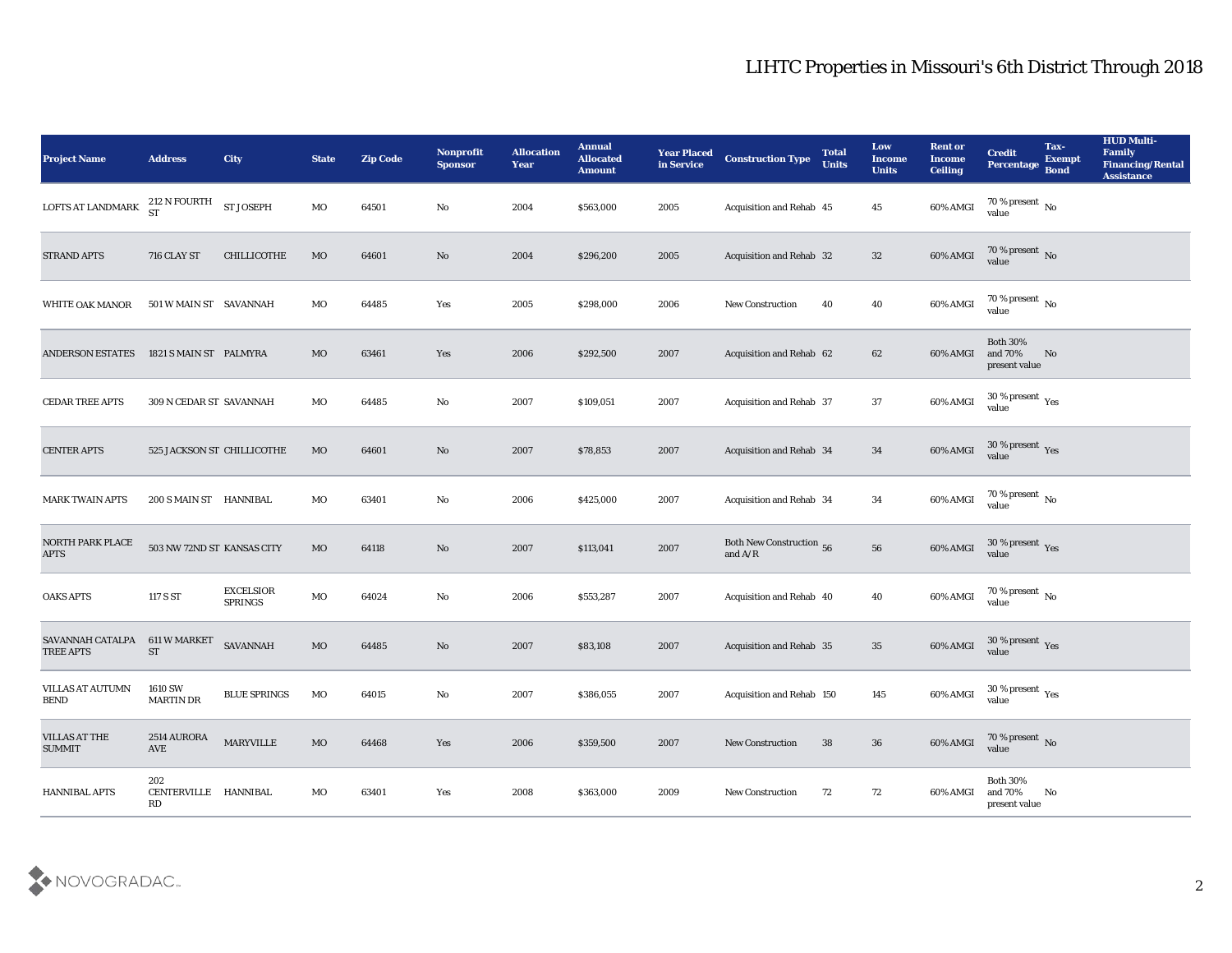| <b>Project Name</b>                   | <b>Address</b>                    | <b>City</b>                        | <b>State</b> | <b>Zip Code</b> | <b>Nonprofit</b><br><b>Sponsor</b> | <b>Allocation</b><br>Year | <b>Annual</b><br><b>Allocated</b><br><b>Amount</b> | <b>Year Placed</b><br>in Service | <b>Construction Type</b>                     | <b>Total</b><br><b>Units</b> | Low<br>Income<br><b>Units</b> | <b>Rent or</b><br><b>Income</b><br><b>Ceiling</b> | <b>Credit</b><br>Percentage                 | Tax-<br><b>Exempt</b><br><b>Bond</b> | <b>HUD Multi-</b><br>Family<br><b>Financing/Rental</b><br><b>Assistance</b> |
|---------------------------------------|-----------------------------------|------------------------------------|--------------|-----------------|------------------------------------|---------------------------|----------------------------------------------------|----------------------------------|----------------------------------------------|------------------------------|-------------------------------|---------------------------------------------------|---------------------------------------------|--------------------------------------|-----------------------------------------------------------------------------|
| LOFTS AT LANDMARK                     | 212 N FOURTH<br><b>ST</b>         | <b>ST JOSEPH</b>                   | MO           | 64501           | No                                 | 2004                      | \$563,000                                          | 2005                             | Acquisition and Rehab 45                     |                              | 45                            | 60% AMGI                                          | $70\%$ present $\overline{N_0}$<br>value    |                                      |                                                                             |
| <b>STRAND APTS</b>                    | 716 CLAY ST                       | CHILLICOTHE                        | <b>MO</b>    | 64601           | No                                 | 2004                      | \$296,200                                          | 2005                             | Acquisition and Rehab 32                     |                              | 32                            | 60% AMGI                                          | $70\,\%$ present $\;$ No value              |                                      |                                                                             |
| <b>WHITE OAK MANOR</b>                | 501 W MAIN ST SAVANNAH            |                                    | MO           | 64485           | Yes                                | 2005                      | \$298,000                                          | 2006                             | <b>New Construction</b>                      | 40                           | 40                            | 60% AMGI                                          | 70 % present $\,$ No $\,$<br>value          |                                      |                                                                             |
| <b>ANDERSON ESTATES</b>               | 1821 S MAIN ST PALMYRA            |                                    | MO           | 63461           | Yes                                | 2006                      | \$292,500                                          | 2007                             | Acquisition and Rehab 62                     |                              | 62                            | 60% AMGI                                          | <b>Both 30%</b><br>and 70%<br>present value | No                                   |                                                                             |
| <b>CEDAR TREE APTS</b>                | 309 N CEDAR ST SAVANNAH           |                                    | MO           | 64485           | No                                 | 2007                      | \$109,051                                          | 2007                             | Acquisition and Rehab 37                     |                              | 37                            | 60% AMGI                                          | $30\,\%$ present $\,\mathrm{Yes}$<br>value  |                                      |                                                                             |
| <b>CENTER APTS</b>                    | 525 JACKSON ST CHILLICOTHE        |                                    | MO           | 64601           | No                                 | 2007                      | \$78,853                                           | 2007                             | Acquisition and Rehab 34                     |                              | 34                            | 60% AMGI                                          | $30\,\%$ present $\,$ Yes value             |                                      |                                                                             |
| <b>MARK TWAIN APTS</b>                | 200 S MAIN ST HANNIBAL            |                                    | MO           | 63401           | No                                 | 2006                      | \$425,000                                          | 2007                             | Acquisition and Rehab 34                     |                              | 34                            | 60% AMGI                                          | $70\,\%$ present $\,$ No value              |                                      |                                                                             |
| NORTH PARK PLACE<br><b>APTS</b>       | 503 NW 72ND ST KANSAS CITY        |                                    | MO           | 64118           | No                                 | 2007                      | \$113,041                                          | 2007                             | <b>Both New Construction</b> 56<br>and $A/R$ |                              | 56                            | 60% AMGI                                          | $30\,\%$ present $\,$ Yes value             |                                      |                                                                             |
| <b>OAKS APTS</b>                      | 117 S ST                          | <b>EXCELSIOR</b><br><b>SPRINGS</b> | MO           | 64024           | No                                 | 2006                      | \$553,287                                          | 2007                             | Acquisition and Rehab 40                     |                              | 40                            | 60% AMGI                                          | $70\,\%$ present $\,$ No value              |                                      |                                                                             |
| SAVANNAH CATALPA<br><b>TREE APTS</b>  | 611 W MARKET<br><b>ST</b>         | SAVANNAH                           | $_{\rm MO}$  | 64485           | No                                 | 2007                      | \$83,108                                           | 2007                             | <b>Acquisition and Rehab 35</b>              |                              | 35                            | 60% AMGI                                          | $30\,\%$ present $\,$ Yes value             |                                      |                                                                             |
| VILLAS AT AUTUMN<br>BEND              | 1610 SW<br><b>MARTIN DR</b>       | <b>BLUE SPRINGS</b>                | MO           | 64015           | No                                 | 2007                      | \$386,055                                          | 2007                             | Acquisition and Rehab 150                    |                              | 145                           | 60% AMGI                                          | 30 % present $\gamma_{\rm e s}$<br>value    |                                      |                                                                             |
| <b>VILLAS AT THE</b><br><b>SUMMIT</b> | 2514 AURORA<br>AVE                | <b>MARYVILLE</b>                   | MO           | 64468           | Yes                                | 2006                      | \$359,500                                          | 2007                             | New Construction                             | 38                           | 36                            | 60% AMGI                                          | $70\,\%$ present $\,$ No value              |                                      |                                                                             |
| HANNIBAL APTS                         | 202<br>CENTERVILLE HANNIBAL<br>RD |                                    | MO           | 63401           | $\mathbf{Yes}$                     | 2008                      | \$363,000                                          | 2009                             | New Construction                             | 72                           | 72                            | 60% AMGI                                          | Both $30\%$<br>and 70%<br>present value     | No                                   |                                                                             |

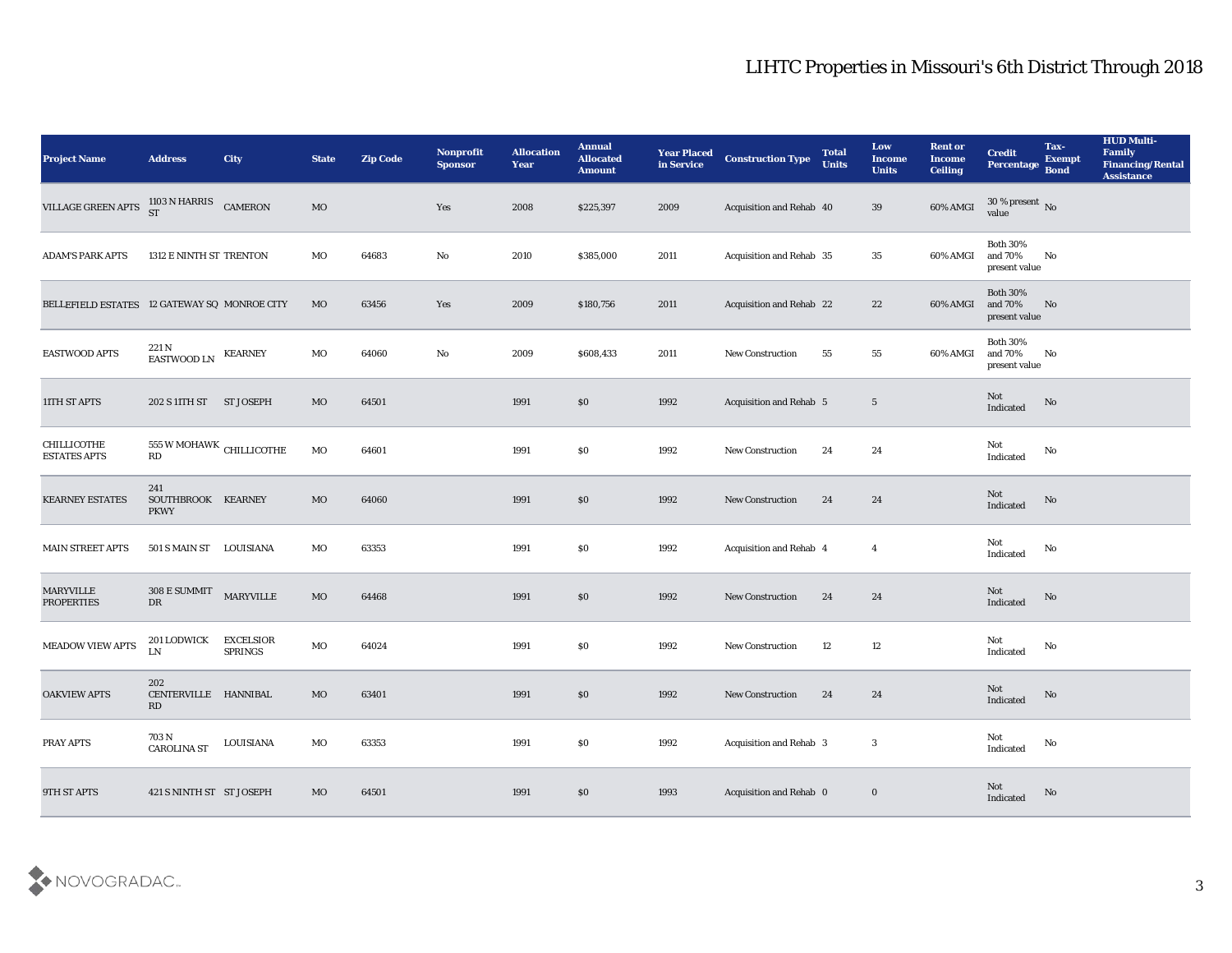| <b>Project Name</b>                          | <b>Address</b>                           | <b>City</b>                        | <b>State</b> | <b>Zip Code</b> | Nonprofit<br><b>Sponsor</b> | <b>Allocation</b><br><b>Year</b> | <b>Annual</b><br><b>Allocated</b><br><b>Amount</b> | <b>Year Placed</b><br>in Service | <b>Construction Type</b> | <b>Total</b><br><b>Units</b> | Low<br><b>Income</b><br><b>Units</b> | <b>Rent or</b><br><b>Income</b><br><b>Ceiling</b> | <b>Credit</b><br>Percentage Bond            | Tax-<br><b>Exempt</b> | <b>HUD Multi-</b><br>Family<br><b>Financing/Rental</b><br><b>Assistance</b> |
|----------------------------------------------|------------------------------------------|------------------------------------|--------------|-----------------|-----------------------------|----------------------------------|----------------------------------------------------|----------------------------------|--------------------------|------------------------------|--------------------------------------|---------------------------------------------------|---------------------------------------------|-----------------------|-----------------------------------------------------------------------------|
| <b>VILLAGE GREEN APTS</b>                    | 1103 N HARRIS CAMERON<br>ST              |                                    | $_{\rm MO}$  |                 | Yes                         | 2008                             | \$225,397                                          | 2009                             | Acquisition and Rehab 40 |                              | 39                                   | 60% AMGI                                          | $30\,\%$ present $\,$ No value              |                       |                                                                             |
| <b>ADAM'S PARK APTS</b>                      | 1312 E NINTH ST TRENTON                  |                                    | MO           | 64683           | No                          | 2010                             | \$385,000                                          | 2011                             | Acquisition and Rehab 35 |                              | 35                                   | 60% AMGI                                          | <b>Both 30%</b><br>and 70%<br>present value | No                    |                                                                             |
| BELLEFIELD ESTATES 12 GATEWAY SQ MONROE CITY |                                          |                                    | MO           | 63456           | Yes                         | 2009                             | \$180,756                                          | 2011                             | Acquisition and Rehab 22 |                              | 22                                   | 60% AMGI                                          | <b>Both 30%</b><br>and 70%<br>present value | No                    |                                                                             |
| <b>EASTWOOD APTS</b>                         | 221 N<br>EASTWOOD LN KEARNEY             |                                    | MO           | 64060           | No                          | 2009                             | \$608,433                                          | 2011                             | New Construction         | 55                           | 55                                   | 60% AMGI                                          | <b>Both 30%</b><br>and 70%<br>present value | No                    |                                                                             |
| 11TH ST APTS                                 | 202 S 11TH ST                            | <b>ST JOSEPH</b>                   | MO           | 64501           |                             | 1991                             | \$0                                                | 1992                             | Acquisition and Rehab 5  |                              | $\overline{5}$                       |                                                   | Not<br>Indicated                            | No                    |                                                                             |
| CHILLICOTHE<br><b>ESTATES APTS</b>           | $555$ W MOHAWK $\,$ CHILLICOTHE<br>RD    |                                    | MO           | 64601           |                             | 1991                             | \$0                                                | 1992                             | <b>New Construction</b>  | 24                           | 24                                   |                                                   | Not<br>$\operatorname{Indicated}$           | No                    |                                                                             |
| <b>KEARNEY ESTATES</b>                       | 241<br>SOUTHBROOK KEARNEY<br><b>PKWY</b> |                                    | MO           | 64060           |                             | 1991                             | \$0                                                | 1992                             | <b>New Construction</b>  | 24                           | 24                                   |                                                   | Not<br>Indicated                            | No                    |                                                                             |
| <b>MAIN STREET APTS</b>                      | 501 S MAIN ST LOUISIANA                  |                                    | MO           | 63353           |                             | 1991                             | \$0                                                | 1992                             | Acquisition and Rehab 4  |                              | $\overline{4}$                       |                                                   | Not<br>Indicated                            | No                    |                                                                             |
| MARYVILLE<br><b>PROPERTIES</b>               | $308\to \hbox{SUMMIT}$<br>DR             | <b>MARYVILLE</b>                   | $_{\rm MO}$  | 64468           |                             | 1991                             | \$0                                                | 1992                             | New Construction         | 24                           | 24                                   |                                                   | Not<br>Indicated                            | No                    |                                                                             |
| <b>MEADOW VIEW APTS</b>                      | 201 LODWICK<br>${\rm LN}$                | <b>EXCELSIOR</b><br><b>SPRINGS</b> | $_{\rm MO}$  | 64024           |                             | 1991                             | \$0                                                | 1992                             | <b>New Construction</b>  | 12                           | 12                                   |                                                   | Not<br>Indicated                            | No                    |                                                                             |
| <b>OAKVIEW APTS</b>                          | 202<br>CENTERVILLE HANNIBAL<br>RD        |                                    | MO           | 63401           |                             | 1991                             | \$0                                                | 1992                             | <b>New Construction</b>  | 24                           | 24                                   |                                                   | Not<br>Indicated                            | No                    |                                                                             |
| PRAY APTS                                    | $703\,\mathrm{N}$<br><b>CAROLINA ST</b>  | LOUISIANA                          | $_{\rm MO}$  | 63353           |                             | 1991                             | $\$0$                                              | 1992                             | Acquisition and Rehab 3  |                              | $\mathbf{3}$                         |                                                   | Not<br>Indicated                            | $\mathbf {No}$        |                                                                             |
| 9TH ST APTS                                  | 421 S NINTH ST ST JOSEPH                 |                                    | $_{\rm MO}$  | 64501           |                             | 1991                             | \$0                                                | 1993                             | Acquisition and Rehab 0  |                              | $\bf{0}$                             |                                                   | Not<br>Indicated                            | No                    |                                                                             |

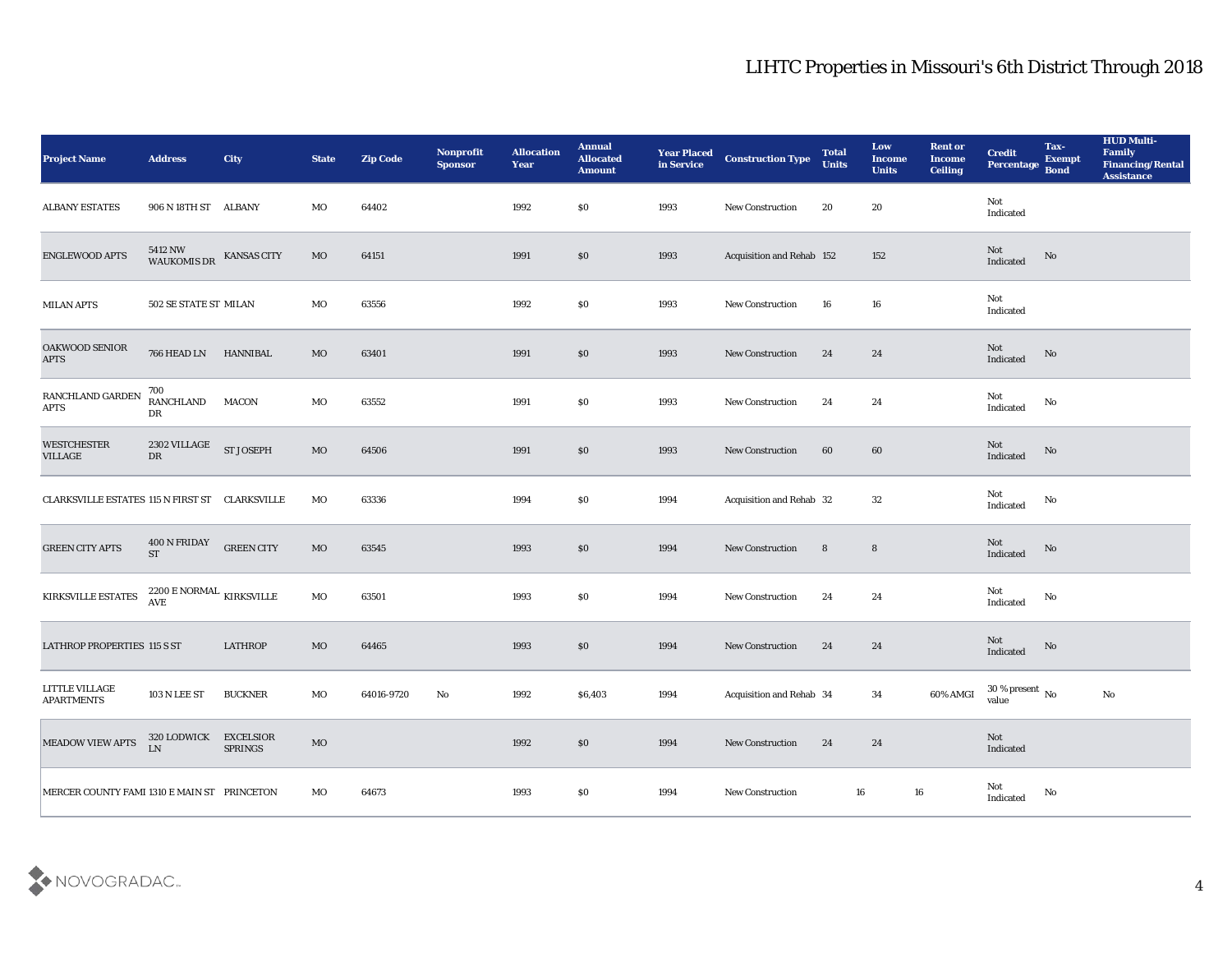| <b>Project Name</b>                            | <b>Address</b>                                        | <b>City</b>       | <b>State</b> | <b>Zip Code</b> | Nonprofit<br><b>Sponsor</b> | <b>Allocation</b><br><b>Year</b> | <b>Annual</b><br><b>Allocated</b><br><b>Amount</b> | <b>Year Placed<br/>in Service</b> | <b>Construction Type</b>  | <b>Total</b><br><b>Units</b> | Low<br><b>Income</b><br><b>Units</b> | <b>Rent or</b><br><b>Income</b><br><b>Ceiling</b> | <b>Credit</b><br>Percentage            | Tax-<br><b>Exempt</b><br><b>Bond</b> | <b>HUD Multi-</b><br>Family<br><b>Financing/Rental</b><br><b>Assistance</b> |
|------------------------------------------------|-------------------------------------------------------|-------------------|--------------|-----------------|-----------------------------|----------------------------------|----------------------------------------------------|-----------------------------------|---------------------------|------------------------------|--------------------------------------|---------------------------------------------------|----------------------------------------|--------------------------------------|-----------------------------------------------------------------------------|
| <b>ALBANY ESTATES</b>                          | 906 N 18TH ST ALBANY                                  |                   | MO           | 64402           |                             | 1992                             | \$0                                                | 1993                              | New Construction          | 20                           | 20                                   |                                                   | Not<br>Indicated                       |                                      |                                                                             |
| ENGLEWOOD APTS                                 | 5412 NW WAUKOMIS DR KANSAS CITY                       |                   | MO           | 64151           |                             | 1991                             | $\$0$                                              | 1993                              | Acquisition and Rehab 152 |                              | 152                                  |                                                   | Not<br>Indicated                       | No                                   |                                                                             |
| <b>MILAN APTS</b>                              | 502 SE STATE ST MILAN                                 |                   | MO           | 63556           |                             | 1992                             | \$0                                                | 1993                              | <b>New Construction</b>   | 16                           | 16                                   |                                                   | Not<br>Indicated                       |                                      |                                                                             |
| <b>OAKWOOD SENIOR</b><br><b>APTS</b>           | 766 HEAD LN                                           | <b>HANNIBAL</b>   | MO           | 63401           |                             | 1991                             | \$0                                                | 1993                              | <b>New Construction</b>   | 24                           | 24                                   |                                                   | Not<br>Indicated                       | No                                   |                                                                             |
| RANCHLAND GARDEN<br><b>APTS</b>                | 700<br>RANCHLAND<br>DR                                | <b>MACON</b>      | MO           | 63552           |                             | 1991                             | \$0                                                | 1993                              | <b>New Construction</b>   | 24                           | 24                                   |                                                   | Not<br>Indicated                       | No                                   |                                                                             |
| <b>WESTCHESTER</b><br><b>VILLAGE</b>           | 2302 VILLAGE<br>DR                                    | <b>ST JOSEPH</b>  | $_{\rm MO}$  | 64506           |                             | 1991                             | $\$0$                                              | 1993                              | New Construction          | 60                           | 60                                   |                                                   | Not<br>Indicated                       | No                                   |                                                                             |
| CLARKSVILLE ESTATES 115 N FIRST ST CLARKSVILLE |                                                       |                   | MO           | 63336           |                             | 1994                             | \$0                                                | 1994                              | Acquisition and Rehab 32  |                              | 32                                   |                                                   | Not<br>Indicated                       | No                                   |                                                                             |
| <b>GREEN CITY APTS</b>                         | 400 N FRIDAY<br><b>ST</b>                             | <b>GREEN CITY</b> | MO           | 63545           |                             | 1993                             | \$0                                                | 1994                              | <b>New Construction</b>   | 8                            | 8                                    |                                                   | Not<br>Indicated                       | No                                   |                                                                             |
| KIRKSVILLE ESTATES                             | $2200\,\mathrm{E}\,\mathrm{NORMAL}$ KIRKSVILLE<br>AVE |                   | MO           | 63501           |                             | 1993                             | \$0                                                | 1994                              | New Construction          | 24                           | 24                                   |                                                   | Not<br>$\operatorname{Indicated}$      | No                                   |                                                                             |
| LATHROP PROPERTIES 115 S ST                    |                                                       | <b>LATHROP</b>    | MO           | 64465           |                             | 1993                             | \$0                                                | 1994                              | <b>New Construction</b>   | 24                           | 24                                   |                                                   | Not<br>Indicated                       | No                                   |                                                                             |
| LITTLE VILLAGE<br><b>APARTMENTS</b>            | <b>103 N LEE ST</b>                                   | <b>BUCKNER</b>    | MO           | 64016-9720      | No                          | 1992                             | \$6,403                                            | 1994                              | Acquisition and Rehab 34  |                              | 34                                   | 60% AMGI                                          | $30\,\%$ present $\,$ No $\,$<br>value |                                      | No                                                                          |
| MEADOW VIEW APTS                               | 320 LODWICK EXCELSIOR<br>LN                           | <b>SPRINGS</b>    | MO           |                 |                             | 1992                             | $\$0$                                              | 1994                              | <b>New Construction</b>   | 24                           | 24                                   |                                                   | Not<br>Indicated                       |                                      |                                                                             |
| MERCER COUNTY FAMI 1310 E MAIN ST PRINCETON    |                                                       |                   | MO           | 64673           |                             | 1993                             | \$0                                                | 1994                              | <b>New Construction</b>   | 16                           |                                      | $16\,$                                            | <b>Not</b><br>Indicated                | No                                   |                                                                             |

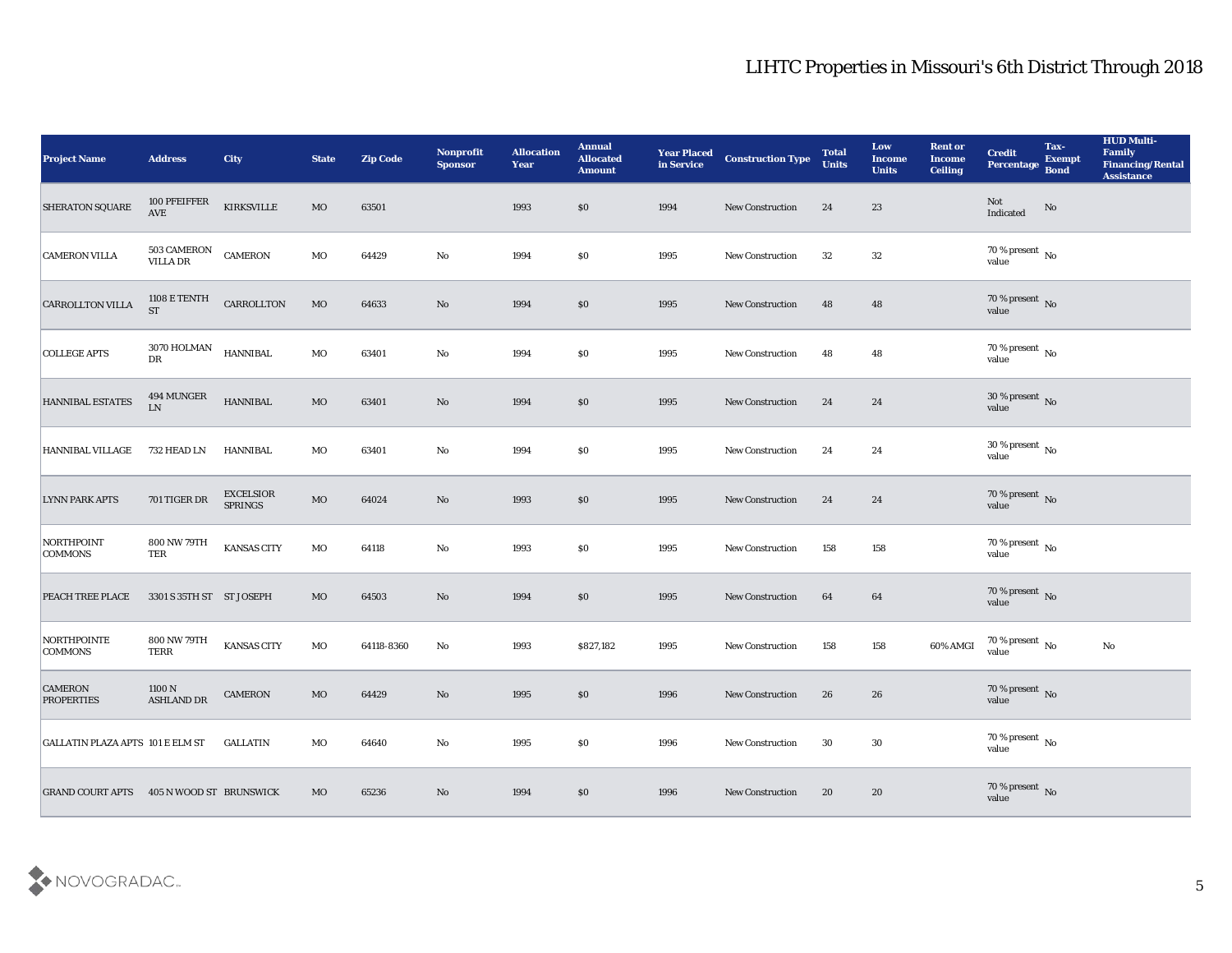| <b>Project Name</b>                             | <b>Address</b>                  | <b>City</b>          | <b>State</b> | <b>Zip Code</b> | Nonprofit<br><b>Sponsor</b> | <b>Allocation</b><br><b>Year</b> | <b>Annual</b><br><b>Allocated</b><br><b>Amount</b> | <b>Year Placed</b><br>in Service | <b>Construction Type</b> | <b>Total</b><br><b>Units</b> | Low<br><b>Income</b><br><b>Units</b> | <b>Rent or</b><br><b>Income</b><br><b>Ceiling</b> | <b>Credit</b><br>Percentage        | Tax-<br><b>Exempt</b><br><b>Bond</b> | <b>HUD Multi-</b><br>Family<br>Financing/Rental<br><b>Assistance</b> |
|-------------------------------------------------|---------------------------------|----------------------|--------------|-----------------|-----------------------------|----------------------------------|----------------------------------------------------|----------------------------------|--------------------------|------------------------------|--------------------------------------|---------------------------------------------------|------------------------------------|--------------------------------------|----------------------------------------------------------------------|
| SHERATON SQUARE                                 | $100\ \mathrm{PFEIFFER}$<br>AVE | KIRKSVILLE           | $_{\rm MO}$  | 63501           |                             | 1993                             | \$0                                                | 1994                             | New Construction         | 24                           | 23                                   |                                                   | Not<br>Indicated                   | $\rm \bf No$                         |                                                                      |
| <b>CAMERON VILLA</b>                            | 503 CAMERON<br>VILLA DR         | <b>CAMERON</b>       | MO           | 64429           | No                          | 1994                             | $\$0$                                              | 1995                             | New Construction         | 32                           | 32                                   |                                                   | $70\,\%$ present $\,$ No value     |                                      |                                                                      |
| <b>CARROLLTON VILLA</b>                         | 1108 E TENTH<br><b>ST</b>       | CARROLLTON           | $_{\rm MO}$  | 64633           | $\mathbf{N}\mathbf{o}$      | 1994                             | \$0                                                | 1995                             | New Construction         | 48                           | 48                                   |                                                   | $70\,\%$ present $\,$ No value     |                                      |                                                                      |
| <b>COLLEGE APTS</b>                             | 3070 HOLMAN<br>${\rm D}{\rm R}$ | <b>HANNIBAL</b>      | $_{\rm MO}$  | 63401           | $\mathbf{No}$               | 1994                             | \$0\$                                              | 1995                             | New Construction         | 48                           | 48                                   |                                                   | $70\,\%$ present $\,$ No value     |                                      |                                                                      |
| HANNIBAL ESTATES                                | 494 MUNGER<br>$\mathbf{LN}$     | <b>HANNIBAL</b>      | $_{\rm MO}$  | 63401           | No                          | 1994                             | \$0                                                | 1995                             | <b>New Construction</b>  | 24                           | 24                                   |                                                   | $30\,\%$ present $\,$ No value     |                                      |                                                                      |
| HANNIBAL VILLAGE                                | 732 HEAD LN                     | HANNIBAL             | MO           | 63401           | $\mathbf{No}$               | 1994                             | \$0                                                | 1995                             | New Construction         | 24                           | 24                                   |                                                   | $30\,\%$ present $\,$ No value     |                                      |                                                                      |
| <b>LYNN PARK APTS</b>                           | $701\,\mathrm{TIGER}$ DR        | EXCELSIOR<br>SPRINGS | $_{\rm MO}$  | 64024           | No                          | 1993                             | \$0                                                | 1995                             | New Construction         | 24                           | 24                                   |                                                   | $70\,\%$ present $\,$ No value     |                                      |                                                                      |
| <b>NORTHPOINT</b><br><b>COMMONS</b>             | 800 NW 79TH<br>TER              | <b>KANSAS CITY</b>   | MO           | 64118           | $\mathbf{No}$               | 1993                             | \$0                                                | 1995                             | <b>New Construction</b>  | 158                          | 158                                  |                                                   | $70\,\%$ present $\,$ No value     |                                      |                                                                      |
| PEACH TREE PLACE                                | 3301 S 35TH ST ST JOSEPH        |                      | MO           | 64503           | No                          | 1994                             | \$0                                                | 1995                             | <b>New Construction</b>  | 64                           | 64                                   |                                                   | $70\,\%$ present $\,$ No value     |                                      |                                                                      |
| NORTHPOINTE<br><b>COMMONS</b>                   | 800 NW 79TH<br><b>TERR</b>      | <b>KANSAS CITY</b>   | MO           | 64118-8360      | No                          | 1993                             | \$827,182                                          | 1995                             | <b>New Construction</b>  | 158                          | 158                                  | 60% AMGI                                          | $70\,\%$ present $\,$ No value     |                                      | No                                                                   |
| <b>CAMERON</b><br><b>PROPERTIES</b>             | 1100 N<br>ASHLAND DR            | <b>CAMERON</b>       | MO           | 64429           | No                          | 1995                             | \$0                                                | 1996                             | <b>New Construction</b>  | 26                           | 26                                   |                                                   | 70 % present $\bar{N}$ o<br>value  |                                      |                                                                      |
| <b>GALLATIN PLAZA APTS 101 E ELM ST</b>         |                                 | <b>GALLATIN</b>      | $_{\rm MO}$  | 64640           | $\mathbf {No}$              | 1995                             | \$0                                                | 1996                             | New Construction         | 30                           | $30\,$                               |                                                   | 70 % present $\,$ No $\,$<br>value |                                      |                                                                      |
| <b>GRAND COURT APTS 405 N WOOD ST BRUNSWICK</b> |                                 |                      | MO           | 65236           | No                          | 1994                             | \$0                                                | 1996                             | New Construction         | 20                           | 20                                   |                                                   | $70\,\%$ present $\,$ No value     |                                      |                                                                      |

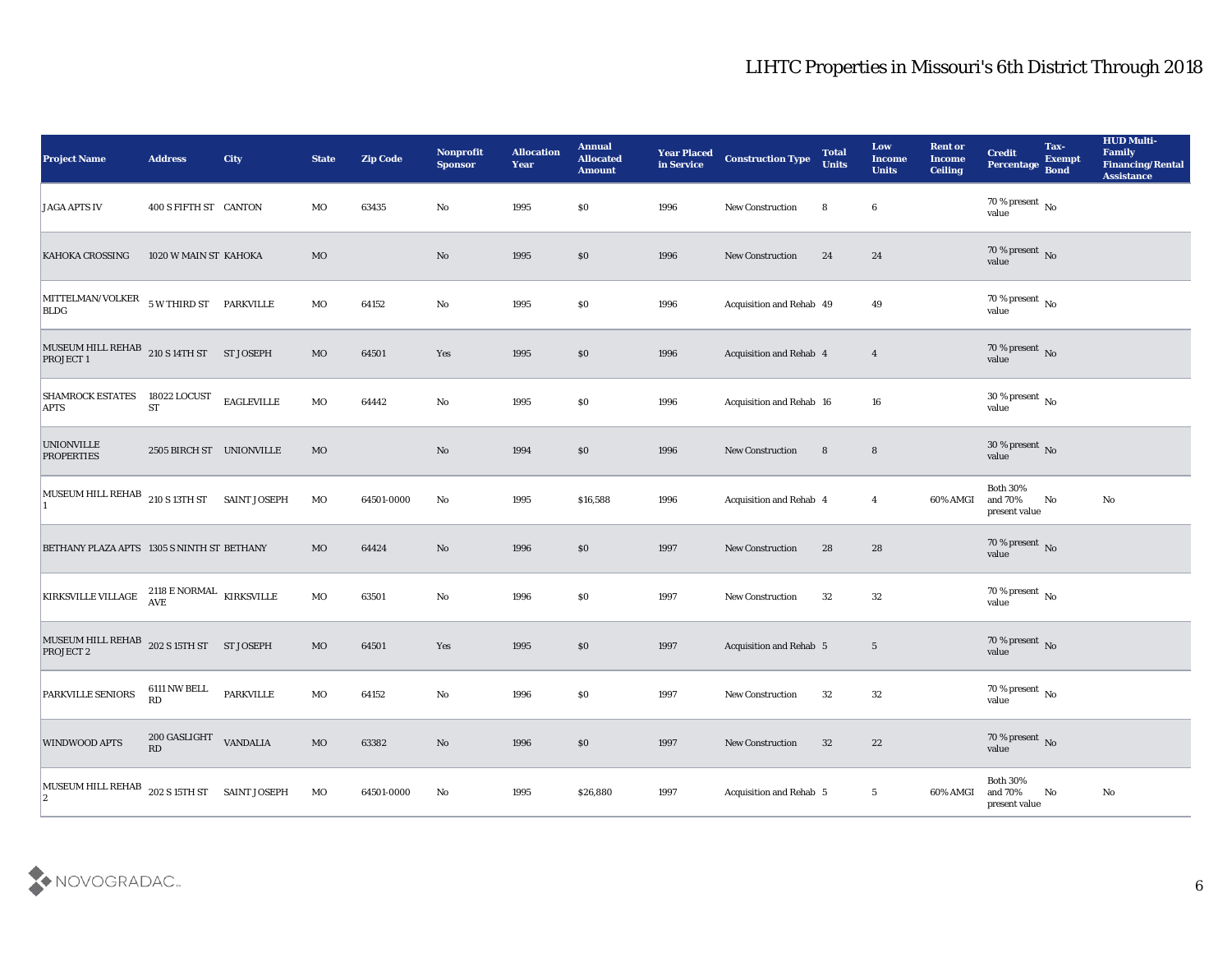| <b>Project Name</b>                                                                                                      | <b>Address</b>                              | <b>City</b>       | <b>State</b> | <b>Zip Code</b> | Nonprofit<br><b>Sponsor</b> | <b>Allocation</b><br><b>Year</b> | <b>Annual</b><br><b>Allocated</b><br><b>Amount</b> | <b>Year Placed</b><br>in Service | <b>Construction Type</b> | <b>Total</b><br><b>Units</b> | Low<br>Income<br><b>Units</b> | <b>Rent or</b><br><b>Income</b><br><b>Ceiling</b> | <b>Credit</b><br>Percentage                 | Tax-<br><b>Exempt</b><br><b>Bond</b> | <b>HUD Multi-</b><br>Family<br><b>Financing/Rental</b><br><b>Assistance</b> |
|--------------------------------------------------------------------------------------------------------------------------|---------------------------------------------|-------------------|--------------|-----------------|-----------------------------|----------------------------------|----------------------------------------------------|----------------------------------|--------------------------|------------------------------|-------------------------------|---------------------------------------------------|---------------------------------------------|--------------------------------------|-----------------------------------------------------------------------------|
| <b>JAGA APTS IV</b>                                                                                                      | 400 S FIFTH ST CANTON                       |                   | MO           | 63435           | No                          | 1995                             | \$0                                                | 1996                             | New Construction         | 8                            | $6\phantom{.0}$               |                                                   | 70 % present No<br>value                    |                                      |                                                                             |
| <b>KAHOKA CROSSING</b>                                                                                                   | 1020 W MAIN ST KAHOKA                       |                   | MO           |                 | No                          | 1995                             | \$0                                                | 1996                             | <b>New Construction</b>  | 24                           | 24                            |                                                   | $70\,\%$ present $\,$ No value              |                                      |                                                                             |
| $\vert$ MITTELMAN/VOLKER 5 W THIRD ST PARKVILLE<br><b>BLDG</b>                                                           |                                             |                   | MO           | 64152           | No                          | 1995                             | \$0                                                | 1996                             | Acquisition and Rehab 49 |                              | 49                            |                                                   | 70 % present $\,$ No $\,$<br>value          |                                      |                                                                             |
| $\begin{array}{ll} \text{MUSEUM HILL REHAB} & \text{210 S 14TH ST} & \text{ST JOSEPH} \\ \text{PROJECT 1} & \end{array}$ |                                             |                   | MO           | 64501           | Yes                         | 1995                             | \$0                                                | 1996                             | Acquisition and Rehab 4  |                              | $\overline{4}$                |                                                   | $70\,\%$ present $\,$ No value              |                                      |                                                                             |
| <b>SHAMROCK ESTATES</b><br><b>APTS</b>                                                                                   | 18022 LOCUST<br><b>ST</b>                   | <b>EAGLEVILLE</b> | MO           | 64442           | No                          | 1995                             | \$0                                                | 1996                             | Acquisition and Rehab 16 |                              | 16                            |                                                   | $30\,\%$ present $\,$ No value              |                                      |                                                                             |
| <b>UNIONVILLE</b><br><b>PROPERTIES</b>                                                                                   | 2505 BIRCH ST UNIONVILLE                    |                   | MO           |                 | No                          | 1994                             | \$0                                                | 1996                             | <b>New Construction</b>  | 8                            | $8\phantom{1}$                |                                                   | $30\,\%$ present $\,$ No value              |                                      |                                                                             |
| MUSEUM HILL REHAB 210 S 13TH ST SAINT JOSEPH                                                                             |                                             |                   | MO           | 64501-0000      | No                          | 1995                             | \$16,588                                           | 1996                             | Acquisition and Rehab 4  |                              | $\overline{4}$                | 60% AMGI                                          | <b>Both 30%</b><br>and 70%<br>present value | No                                   | No                                                                          |
| BETHANY PLAZA APTS 1305 S NINTH ST BETHANY                                                                               |                                             |                   | MO           | 64424           | No                          | 1996                             | \$0                                                | 1997                             | <b>New Construction</b>  | 28                           | 28                            |                                                   | 70 % present $\,$ No $\,$<br>value          |                                      |                                                                             |
| KIRKSVILLE VILLAGE                                                                                                       | $2118$ E NORMAL $$\,{\rm KIRKSVILLE}\,$ AVE |                   | MO           | 63501           | No                          | 1996                             | \$0                                                | 1997                             | <b>New Construction</b>  | 32                           | 32                            |                                                   | $70\,\%$ present $\,$ No value              |                                      |                                                                             |
| MUSEUM HILL REHAB $202$ S 15TH ST ST JOSEPH<br>PROJECT 2                                                                 |                                             |                   | MO           | 64501           | Yes                         | 1995                             | $\$0$                                              | 1997                             | Acquisition and Rehab 5  |                              | $5\overline{)}$               |                                                   | $70\,\%$ present $\,$ No value              |                                      |                                                                             |
| <b>PARKVILLE SENIORS</b>                                                                                                 | 6111 NW BELL<br>RD                          | <b>PARKVILLE</b>  | MO           | 64152           | No                          | 1996                             | \$0                                                | 1997                             | <b>New Construction</b>  | 32                           | 32                            |                                                   | 70 % present No<br>value                    |                                      |                                                                             |
| <b>WINDWOOD APTS</b>                                                                                                     | $200$ GASLIGHT $\;$ VANDALIA<br>RD          |                   | $_{\rm MO}$  | 63382           | $\mathbf {No}$              | 1996                             | \$0                                                | 1997                             | New Construction         | 32                           | 22                            |                                                   | $70\,\%$ present $\,$ No value              |                                      |                                                                             |
| MUSEUM HILL REHAB 202 S 15TH ST SAINT JOSEPH<br>$ 2\rangle$                                                              |                                             |                   | MO           | 64501-0000      | $\mathbf{No}$               | 1995                             | \$26,880                                           | 1997                             | Acquisition and Rehab 5  |                              | $5\phantom{.0}$               | 60% AMGI                                          | <b>Both 30%</b><br>and 70%<br>present value | No                                   | $\rm\thinspace No$                                                          |

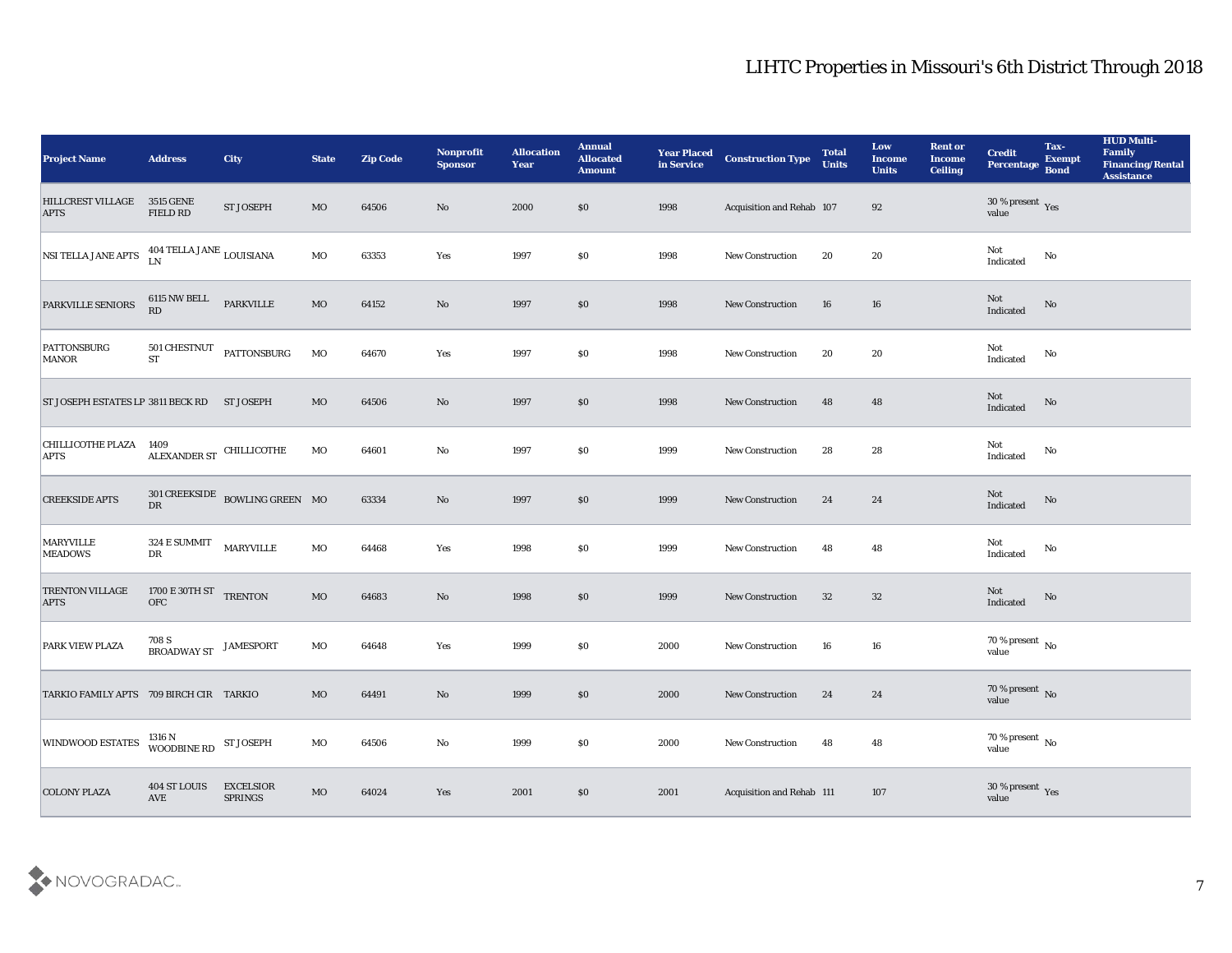| <b>Project Name</b>                         | <b>Address</b>                             | <b>City</b>                                        | <b>State</b> | <b>Zip Code</b> | Nonprofit<br><b>Sponsor</b> | <b>Allocation</b><br><b>Year</b> | <b>Annual</b><br><b>Allocated</b><br><b>Amount</b> | <b>Year Placed</b><br>in Service | <b>Construction Type</b>  | <b>Total</b><br><b>Units</b> | Low<br><b>Income</b><br><b>Units</b> | <b>Rent or</b><br><b>Income</b><br><b>Ceiling</b> | <b>Credit</b><br>Percentage        | Tax-<br><b>Exempt</b><br><b>Bond</b> | <b>HUD Multi-</b><br>Family<br><b>Financing/Rental</b><br><b>Assistance</b> |
|---------------------------------------------|--------------------------------------------|----------------------------------------------------|--------------|-----------------|-----------------------------|----------------------------------|----------------------------------------------------|----------------------------------|---------------------------|------------------------------|--------------------------------------|---------------------------------------------------|------------------------------------|--------------------------------------|-----------------------------------------------------------------------------|
| <b>HILLCREST VILLAGE</b><br><b>APTS</b>     | <b>3515 GENE</b><br>FIELD RD               | <b>ST JOSEPH</b>                                   | MO           | 64506           | No                          | 2000                             | $\$0$                                              | 1998                             | Acquisition and Rehab 107 |                              | 92                                   |                                                   | $30\,\%$ present $\,$ Yes value    |                                      |                                                                             |
| NSI TELLA JANE APTS                         | 404 TELLA JANE LOUISIANA<br>LN             |                                                    | MO           | 63353           | Yes                         | 1997                             | $\$0$                                              | 1998                             | <b>New Construction</b>   | 20                           | 20                                   |                                                   | Not<br>Indicated                   | No                                   |                                                                             |
| PARKVILLE SENIORS                           | $6115$ NW BELL<br>RD                       | PARKVILLE                                          | $_{\rm MO}$  | 64152           | $\mathbf{N}\mathbf{o}$      | 1997                             | \$0                                                | 1998                             | New Construction          | 16                           | 16                                   |                                                   | Not<br>Indicated                   | $\rm No$                             |                                                                             |
| <b>PATTONSBURG</b><br><b>MANOR</b>          | 501 CHESTNUT<br><b>ST</b>                  | PATTONSBURG                                        | $_{\rm MO}$  | 64670           | Yes                         | 1997                             | \$0                                                | 1998                             | New Construction          | 20                           | 20                                   |                                                   | Not<br>Indicated                   | $\rm No$                             |                                                                             |
| ST JOSEPH ESTATES LP 3811 BECK RD ST JOSEPH |                                            |                                                    | MO           | 64506           | No                          | 1997                             | \$0                                                | 1998                             | <b>New Construction</b>   | 48                           | 48                                   |                                                   | Not<br>Indicated                   | No                                   |                                                                             |
| <b>CHILLICOTHE PLAZA</b><br><b>APTS</b>     | 1409<br>$\,$ ALEXANDER ST $\,$ CHILLICOTHE |                                                    | MO           | 64601           | No                          | 1997                             | \$0                                                | 1999                             | New Construction          | 28                           | 28                                   |                                                   | Not<br>Indicated                   | No                                   |                                                                             |
| <b>CREEKSIDE APTS</b>                       |                                            | $301$ CREEKSIDE BOWLING GREEN $\,$ MO $\,$ DR $\,$ |              | 63334           | No                          | 1997                             | \$0                                                | 1999                             | New Construction          | 24                           | 24                                   |                                                   | ${\rm Not}$ Indicated              | $\rm No$                             |                                                                             |
| <b>MARYVILLE</b><br><b>MEADOWS</b>          | 324 E SUMMIT<br>${\rm D}{\rm R}$           | MARYVILLE                                          | $_{\rm MO}$  | 64468           | Yes                         | 1998                             | \$0                                                | 1999                             | <b>New Construction</b>   | 48                           | 48                                   |                                                   | Not<br>Indicated                   | No                                   |                                                                             |
| <b>TRENTON VILLAGE</b><br><b>APTS</b>       | 1700 E 30TH ST TRENTON<br>${\rm OFC}$      |                                                    | $_{\rm MO}$  | 64683           | No                          | 1998                             | $\$0$                                              | 1999                             | <b>New Construction</b>   | 32                           | 32                                   |                                                   | Not<br>Indicated                   | No                                   |                                                                             |
| <b>PARK VIEW PLAZA</b>                      | 708 S<br>BROADWAY ST                       | <b>JAMESPORT</b>                                   | MO           | 64648           | Yes                         | 1999                             | \$0                                                | 2000                             | <b>New Construction</b>   | 16                           | 16                                   |                                                   | $70\,\%$ present $\,$ No value     |                                      |                                                                             |
| TARKIO FAMILY APTS 709 BIRCH CIR TARKIO     |                                            |                                                    | MO           | 64491           | No                          | 1999                             | $\$0$                                              | 2000                             | <b>New Construction</b>   | 24                           | 24                                   |                                                   | $70\,\%$ present $\,$ No value     |                                      |                                                                             |
| <b>WINDWOOD ESTATES</b>                     | 1316 N<br>WOODBINE RD                      | <b>ST JOSEPH</b>                                   | $_{\rm MO}$  | 64506           | $\mathbf {No}$              | 1999                             | \$0                                                | 2000                             | New Construction          | 48                           | ${\bf 48}$                           |                                                   | 70 % present $\,$ No $\,$<br>value |                                      |                                                                             |
| <b>COLONY PLAZA</b>                         | 404 ST LOUIS<br>AVE                        | <b>EXCELSIOR</b><br>SPRINGS                        | $_{\rm MO}$  | 64024           | Yes                         | 2001                             | \$0                                                | 2001                             | Acquisition and Rehab 111 |                              | 107                                  |                                                   | $30\,\%$ present $\,$ Yes value    |                                      |                                                                             |

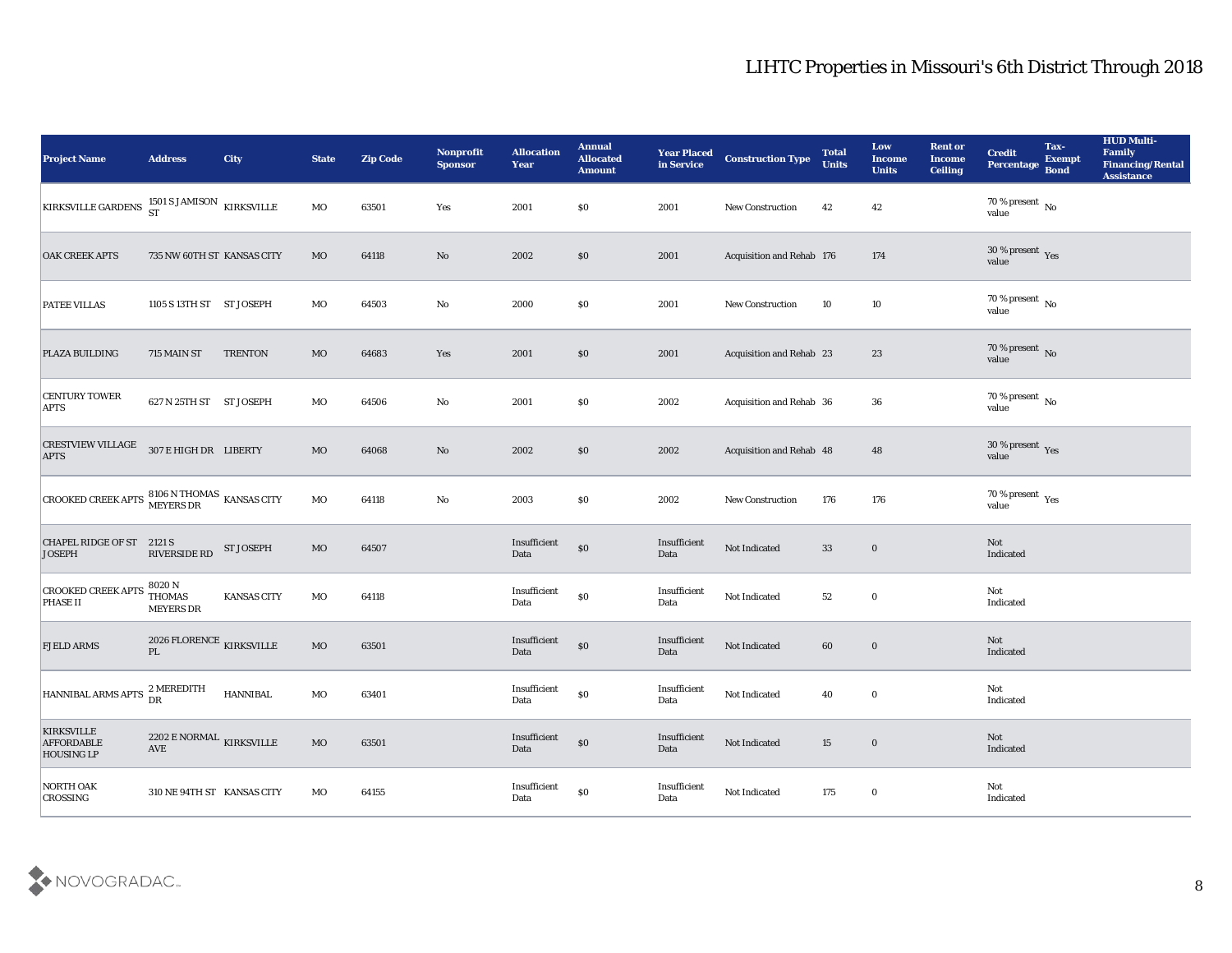| <b>Project Name</b>                                                                                                                               | <b>Address</b>                                          | City               | <b>State</b> | <b>Zip Code</b> | Nonprofit<br><b>Sponsor</b> | <b>Allocation</b><br><b>Year</b>            | <b>Annual</b><br><b>Allocated</b><br><b>Amount</b> | <b>Year Placed</b><br>in Service | <b>Construction Type</b>        | <b>Total</b><br><b>Units</b> | Low<br><b>Income</b><br><b>Units</b> | <b>Rent or</b><br><b>Income</b><br>Ceiling | <b>Credit</b><br>Percentage     | Tax-<br><b>Exempt</b><br><b>Bond</b> | <b>HUD Multi-</b><br>Family<br><b>Financing/Rental</b><br><b>Assistance</b> |
|---------------------------------------------------------------------------------------------------------------------------------------------------|---------------------------------------------------------|--------------------|--------------|-----------------|-----------------------------|---------------------------------------------|----------------------------------------------------|----------------------------------|---------------------------------|------------------------------|--------------------------------------|--------------------------------------------|---------------------------------|--------------------------------------|-----------------------------------------------------------------------------|
| KIRKSVILLE GARDENS $^{1501}_{ST}$ SJAMISON KIRKSVILLE                                                                                             |                                                         |                    | MO           | 63501           | Yes                         | 2001                                        | $\$0$                                              | 2001                             | <b>New Construction</b>         | 42                           | 42                                   |                                            | 70 % present No<br>value        |                                      |                                                                             |
| <b>OAK CREEK APTS</b>                                                                                                                             | 735 NW 60TH ST KANSAS CITY                              |                    | MO           | 64118           | No                          | 2002                                        | \$0                                                | 2001                             | Acquisition and Rehab 176       |                              | 174                                  |                                            | $30\,\%$ present $\,$ Yes value |                                      |                                                                             |
| <b>PATEE VILLAS</b>                                                                                                                               | 1105 S 13TH ST ST JOSEPH                                |                    | MO           | 64503           | No                          | 2000                                        | \$0\$                                              | 2001                             | New Construction                | 10                           | 10                                   |                                            | $70\,\%$ present $\,$ No value  |                                      |                                                                             |
| <b>PLAZA BUILDING</b>                                                                                                                             | 715 MAIN ST                                             | <b>TRENTON</b>     | MO           | 64683           | Yes                         | 2001                                        | $\$0$                                              | 2001                             | <b>Acquisition and Rehab 23</b> |                              | 23                                   |                                            | $70\,\%$ present $\,$ No value  |                                      |                                                                             |
| <b>CENTURY TOWER</b><br><b>APTS</b>                                                                                                               | 627 N 25TH ST ST JOSEPH                                 |                    | MO           | 64506           | $\mathbf{No}$               | 2001                                        | \$0\$                                              | 2002                             | Acquisition and Rehab 36        |                              | 36                                   |                                            | $70\,\%$ present $\,$ No value  |                                      |                                                                             |
| CRESTVIEW VILLAGE 307 E HIGH DR LIBERTY<br><b>APTS</b>                                                                                            |                                                         |                    | MO           | 64068           | No                          | 2002                                        | \$0                                                | 2002                             | Acquisition and Rehab 48        |                              | 48                                   |                                            | $30\,\%$ present $\,$ Yes value |                                      |                                                                             |
| $\begin{array}{ l } \hline \texttt{CROORED CREEK APTS} \begin{array}{l} \texttt{8106} \text{N THOMAS} \end{array} \text{KANSAS CITY} \end{array}$ |                                                         |                    | MO           | 64118           | No                          | 2003                                        | \$0\$                                              | 2002                             | <b>New Construction</b>         | 176                          | 176                                  |                                            | $70\,\%$ present $\,$ Yes value |                                      |                                                                             |
| CHAPEL RIDGE OF ST 2121 S<br><b>JOSEPH</b>                                                                                                        | <b>RIVERSIDE RD</b>                                     | <b>ST JOSEPH</b>   | MO           | 64507           |                             | Insufficient<br>Data                        | $\$0$                                              | Insufficient<br>Data             | Not Indicated                   | 33                           | $\bf{0}$                             |                                            | Not<br>Indicated                |                                      |                                                                             |
| <b>CROOKED CREEK APTS</b><br><b>PHASE II</b>                                                                                                      | 8020 N<br><b>THOMAS</b><br><b>MEYERS DR</b>             | <b>KANSAS CITY</b> | MO           | 64118           |                             | $\label{lem:optimal} In sufficient$<br>Data | $\$0$                                              | Insufficient<br>Data             | Not Indicated                   | 52                           | $\bf{0}$                             |                                            | Not<br>Indicated                |                                      |                                                                             |
| <b>FJELD ARMS</b>                                                                                                                                 | 2026 FLORENCE $_{\rm KIRKSVILLE}$<br>$\mathbf{PL}$      |                    | MO           | 63501           |                             | Insufficient<br>Data                        | $\$0$                                              | Insufficient<br>Data             | Not Indicated                   | 60                           | $\bf{0}$                             |                                            | Not<br>Indicated                |                                      |                                                                             |
| $\begin{array}{ l } \hline \text{HANNIBAL ARMS APTS} & \begin{array}{l} \text{2 MEREDITH} \\ \text{DR} \end{array} \end{array}$                   |                                                         | <b>HANNIBAL</b>    | MO           | 63401           |                             | Insufficient<br>Data                        | $\$0$                                              | Insufficient<br>Data             | Not Indicated                   | 40                           | $\bf{0}$                             |                                            | Not<br>Indicated                |                                      |                                                                             |
| <b>KIRKSVILLE</b><br><b>AFFORDABLE</b><br><b>HOUSING LP</b>                                                                                       | $2202$ E NORMAL $\,$ KIRKSVILLE<br>$\operatorname{AVE}$ |                    | $_{\rm MO}$  | 63501           |                             | Insufficient<br>Data                        | $\boldsymbol{\mathsf{S}}\boldsymbol{\mathsf{0}}$   | Insufficient<br>Data             | Not Indicated                   | $15\,$                       | $\bf{0}$                             |                                            | Not<br>Indicated                |                                      |                                                                             |
| NORTH OAK<br><b>CROSSING</b>                                                                                                                      | 310 NE 94TH ST KANSAS CITY                              |                    | MO           | 64155           |                             | Insufficient<br>Data                        | $\$0$                                              | Insufficient<br>Data             | Not Indicated                   | 175                          | $\bf{0}$                             |                                            | Not<br>Indicated                |                                      |                                                                             |

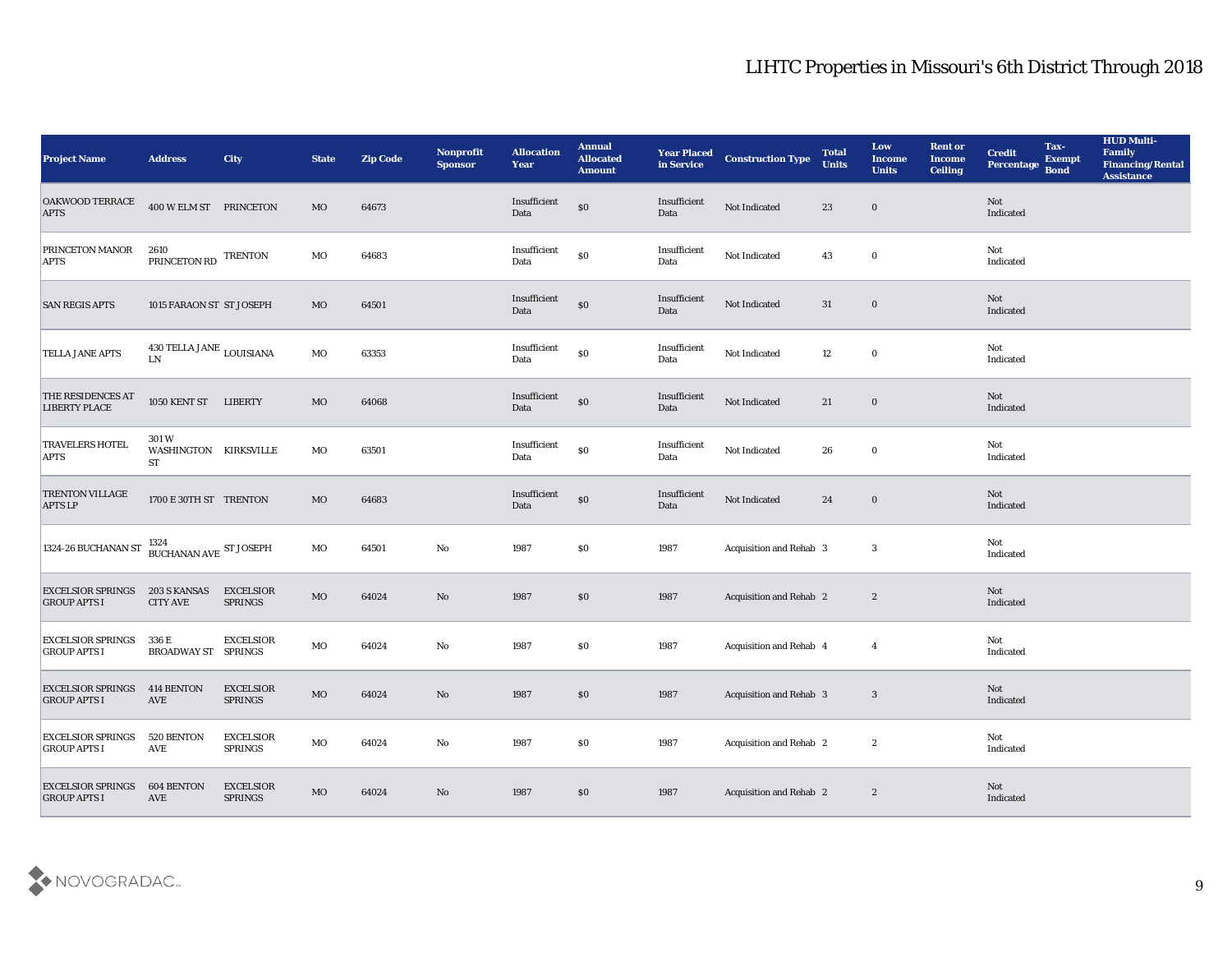| <b>Project Name</b>                             | <b>Address</b>                              | <b>City</b>                        | <b>State</b> | <b>Zip Code</b> | Nonprofit<br><b>Sponsor</b> | <b>Allocation</b><br><b>Year</b> | <b>Annual</b><br><b>Allocated</b><br><b>Amount</b> | <b>Year Placed<br/>in Service</b> | <b>Construction Type</b>       | <b>Total</b><br><b>Units</b> | Low<br><b>Income</b><br><b>Units</b> | <b>Rent or</b><br><b>Income</b><br><b>Ceiling</b> | <b>Credit</b><br>Percentage | Tax-<br><b>Exempt</b><br><b>Bond</b> | <b>HUD Multi-</b><br>Family<br><b>Financing/Rental</b><br><b>Assistance</b> |
|-------------------------------------------------|---------------------------------------------|------------------------------------|--------------|-----------------|-----------------------------|----------------------------------|----------------------------------------------------|-----------------------------------|--------------------------------|------------------------------|--------------------------------------|---------------------------------------------------|-----------------------------|--------------------------------------|-----------------------------------------------------------------------------|
| OAKWOOD TERRACE<br><b>APTS</b>                  | 400 W ELM ST PRINCETON                      |                                    | $_{\rm MO}$  | 64673           |                             | Insufficient<br>Data             | $\$0$                                              | Insufficient<br>Data              | Not Indicated                  | 23                           | $\bf{0}$                             |                                                   | Not<br>Indicated            |                                      |                                                                             |
| <b>PRINCETON MANOR</b><br><b>APTS</b>           | 2610<br>PRINCETON RD TRENTON                |                                    | MO           | 64683           |                             | Insufficient<br>Data             | $\$0$                                              | Insufficient<br>Data              | Not Indicated                  | 43                           | $\bf{0}$                             |                                                   | Not<br>Indicated            |                                      |                                                                             |
| <b>SAN REGIS APTS</b>                           | 1015 FARAON ST ST JOSEPH                    |                                    | MO           | 64501           |                             | Insufficient<br>Data             | $\$0$                                              | Insufficient<br>Data              | Not Indicated                  | 31                           | $\bf{0}$                             |                                                   | Not<br>Indicated            |                                      |                                                                             |
| <b>TELLA JANE APTS</b>                          | 430 TELLA JANE $_{\rm LOUISIANA}$<br>LN     |                                    | MO           | 63353           |                             | Insufficient<br>Data             | $\$0$                                              | Insufficient<br>Data              | Not Indicated                  | 12                           | $\bf{0}$                             |                                                   | Not<br>Indicated            |                                      |                                                                             |
| THE RESIDENCES AT<br><b>LIBERTY PLACE</b>       | 1050 KENT ST LIBERTY                        |                                    | MO           | 64068           |                             | Insufficient<br>Data             | $\$0$                                              | Insufficient<br>Data              | Not Indicated                  | 21                           | $\bf{0}$                             |                                                   | Not<br>Indicated            |                                      |                                                                             |
| <b>TRAVELERS HOTEL</b><br><b>APTS</b>           | 301 W<br>WASHINGTON KIRKSVILLE<br><b>ST</b> |                                    | MO           | 63501           |                             | Insufficient<br>Data             | $\$0$                                              | Insufficient<br>Data              | Not Indicated                  | 26                           | $\bf{0}$                             |                                                   | Not<br>Indicated            |                                      |                                                                             |
| <b>TRENTON VILLAGE</b><br><b>APTS LP</b>        | 1700 E 30TH ST TRENTON                      |                                    | MO           | 64683           |                             | Insufficient<br>Data             | $\$0$                                              | Insufficient<br>Data              | Not Indicated                  | 24                           | $\bf{0}$                             |                                                   | Not<br>Indicated            |                                      |                                                                             |
| 1324-26 BUCHANAN ST                             | 1324<br>$\,$ BUCHANAN AVE $\,$ ST JOSEPH    |                                    | $_{\rm MO}$  | 64501           | $\mathbf{No}$               | 1987                             | \$0                                                | 1987                              | Acquisition and Rehab 3        |                              | $\mathbf{3}$                         |                                                   | Not<br>Indicated            |                                      |                                                                             |
| <b>EXCELSIOR SPRINGS</b><br><b>GROUP APTS I</b> | <b>203 S KANSAS</b><br><b>CITY AVE</b>      | <b>EXCELSIOR</b><br><b>SPRINGS</b> | $_{\rm MO}$  | 64024           | $\mathbf{N}\mathbf{o}$      | 1987                             | $\$0$                                              | 1987                              | <b>Acquisition and Rehab 2</b> |                              | $\boldsymbol{2}$                     |                                                   | Not<br>Indicated            |                                      |                                                                             |
| <b>EXCELSIOR SPRINGS</b><br><b>GROUP APTS I</b> | 336 E<br><b>BROADWAY ST SPRINGS</b>         | <b>EXCELSIOR</b>                   | MO           | 64024           | $\mathbf{No}$               | 1987                             | $\$0$                                              | 1987                              | Acquisition and Rehab 4        |                              | $\overline{4}$                       |                                                   | Not<br>Indicated            |                                      |                                                                             |
| <b>EXCELSIOR SPRINGS</b><br><b>GROUP APTS I</b> | 414 BENTON<br>AVE                           | <b>EXCELSIOR</b><br><b>SPRINGS</b> | MO           | 64024           | No                          | 1987                             | \$0                                                | 1987                              | <b>Acquisition and Rehab 3</b> |                              | 3                                    |                                                   | Not<br>Indicated            |                                      |                                                                             |
| <b>EXCELSIOR SPRINGS</b><br><b>GROUP APTS I</b> | 520 BENTON<br>AVE                           | <b>EXCELSIOR</b><br><b>SPRINGS</b> | $_{\rm MO}$  | 64024           | $\rm\thinspace No$          | 1987                             | \$0                                                | 1987                              | Acquisition and Rehab 2        |                              | $\boldsymbol{2}$                     |                                                   | Not<br>Indicated            |                                      |                                                                             |
| <b>EXCELSIOR SPRINGS</b><br><b>GROUP APTS I</b> | <b>604 BENTON</b><br>AVE                    | <b>EXCELSIOR</b><br><b>SPRINGS</b> | $_{\rm MO}$  | 64024           | $\mathbf {No}$              | 1987                             | $\$0$                                              | 1987                              | Acquisition and Rehab 2        |                              | $\boldsymbol{2}$                     |                                                   | Not<br>Indicated            |                                      |                                                                             |

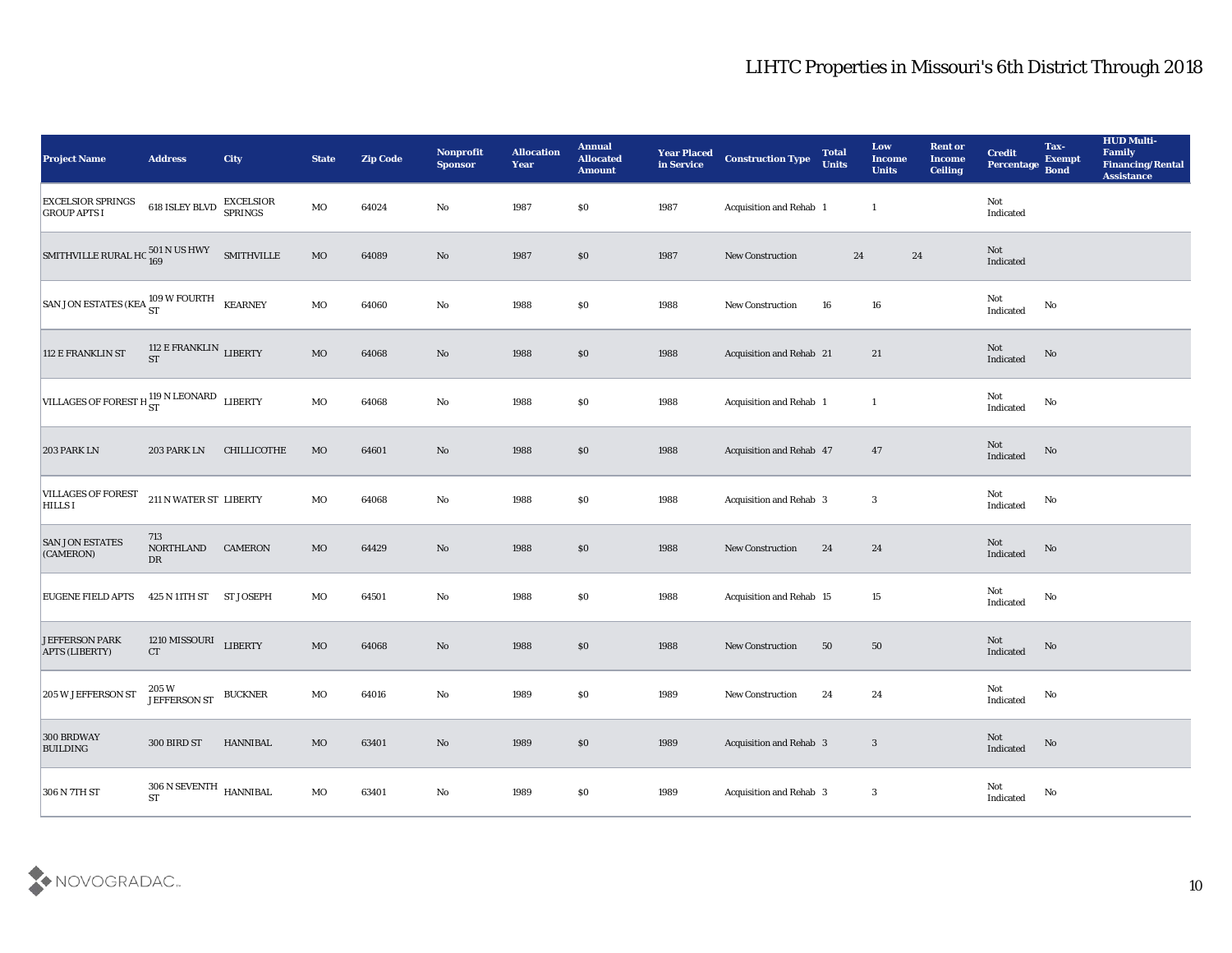| <b>Project Name</b>                                                                                                                           | <b>Address</b>                             | <b>City</b>       | <b>State</b> | <b>Zip Code</b> | Nonprofit<br><b>Sponsor</b> | <b>Allocation</b><br><b>Year</b> | <b>Annual</b><br><b>Allocated</b><br><b>Amount</b> | <b>Year Placed</b><br>in Service | <b>Construction Type</b>       | <b>Total</b><br><b>Units</b> | Low<br>Income<br><b>Units</b> | <b>Rent or</b><br><b>Income</b><br><b>Ceiling</b> | <b>Credit</b><br>Percentage                | Tax-<br><b>Exempt</b><br><b>Bond</b> | <b>HUD Multi-</b><br>Family<br><b>Financing/Rental</b><br><b>Assistance</b> |
|-----------------------------------------------------------------------------------------------------------------------------------------------|--------------------------------------------|-------------------|--------------|-----------------|-----------------------------|----------------------------------|----------------------------------------------------|----------------------------------|--------------------------------|------------------------------|-------------------------------|---------------------------------------------------|--------------------------------------------|--------------------------------------|-----------------------------------------------------------------------------|
| <b>EXCELSIOR SPRINGS<br/>GROUP APTS I</b>                                                                                                     | <b>618 ISLEY BLVD EXCELSIOR</b><br>SPRINGS |                   | $\rm MO$     | 64024           | No                          | 1987                             | \$0                                                | 1987                             | Acquisition and Rehab 1        |                              | $\mathbf{1}$                  |                                                   | Not<br>Indicated                           |                                      |                                                                             |
| SMITHVILLE RURAL HC $^{501}_{169}$ N US HWY                                                                                                   |                                            | <b>SMITHVILLE</b> | MO           | 64089           | No                          | 1987                             | \$0                                                | 1987                             | New Construction               | 24                           | 24                            |                                                   | Not<br>Indicated                           |                                      |                                                                             |
| $\begin{array}{ l } \hbox{SAN Jon ESTATES (KEA} \begin{array}{c} 109 \text{ W FOURTH} \\ \text{ST} \end{array} & \text{KEARNING} \end{array}$ |                                            |                   | MO           | 64060           | $\mathbf {No}$              | 1988                             | \$0                                                | 1988                             | New Construction               | 16                           | 16                            |                                                   | Not<br>Indicated                           | No                                   |                                                                             |
| 112 E FRANKLIN ST                                                                                                                             | 112 E FRANKLIN $\,$ LIBERTY ST             |                   | $_{\rm MO}$  | 64068           | No                          | 1988                             | \$0                                                | 1988                             | Acquisition and Rehab 21       |                              | 21                            |                                                   | Not<br>Indicated                           | $\rm No$                             |                                                                             |
| VILLAGES OF FOREST H $_{ST}^{119}$ N LEONARD LIBERTY                                                                                          |                                            |                   | MO           | 64068           | No                          | 1988                             | \$0                                                | 1988                             | Acquisition and Rehab 1        |                              | $\mathbf{1}$                  |                                                   | Not<br>Indicated                           | No                                   |                                                                             |
| <b>203 PARK LN</b>                                                                                                                            | 203 PARK LN                                | CHILLICOTHE       | MO           | 64601           | No                          | 1988                             | \$0                                                | 1988                             | Acquisition and Rehab 47       |                              | 47                            |                                                   | Not<br>Indicated                           | No                                   |                                                                             |
| <b>VILLAGES OF FOREST</b><br><b>HILLS I</b>                                                                                                   | 211 N WATER ST LIBERTY                     |                   | $_{\rm MO}$  | 64068           | No                          | 1988                             | \$0                                                | 1988                             | Acquisition and Rehab 3        |                              | $\mathbf{3}$                  |                                                   | Not<br>Indicated                           | No                                   |                                                                             |
| <b>SAN JON ESTATES</b><br>(CAMERON)                                                                                                           | 713<br>NORTHLAND<br>DR                     | <b>CAMERON</b>    | MO           | 64429           | No                          | 1988                             | \$0                                                | 1988                             | New Construction               | 24                           | 24                            |                                                   | Not<br>Indicated                           | No                                   |                                                                             |
| <b>EUGENE FIELD APTS</b>                                                                                                                      | 425 N 11TH ST ST JOSEPH                    |                   | MO           | 64501           | $\mathbf{No}$               | 1988                             | \$0                                                | 1988                             | Acquisition and Rehab 15       |                              | 15                            |                                                   | Not<br>Indicated                           | $\rm No$                             |                                                                             |
| <b>JEFFERSON PARK</b><br><b>APTS (LIBERTY)</b>                                                                                                | 1210 MISSOURI LIBERTY<br>CT                |                   | $_{\rm MO}$  | 64068           | No                          | 1988                             | \$0                                                | 1988                             | <b>New Construction</b>        | 50                           | 50                            |                                                   | Not<br>Indicated                           | No                                   |                                                                             |
| 205 W JEFFERSON ST                                                                                                                            | 205 W<br>JEFFERSON ST BUCKNER              |                   | MO           | 64016           | No                          | 1989                             | \$0                                                | 1989                             | <b>New Construction</b>        | 24                           | 24                            |                                                   | Not<br>Indicated                           | No                                   |                                                                             |
| 300 BRDWAY<br><b>BUILDING</b>                                                                                                                 | 300 BIRD ST                                | HANNIBAL          | $\rm MO$     | 63401           | $\rm\thinspace No$          | 1989                             | $\$0$                                              | 1989                             | <b>Acquisition and Rehab 3</b> |                              | $\mathbf{3}$                  |                                                   | $\operatorname{\mathsf{Not}}$<br>Indicated | $\rm \bf No$                         |                                                                             |
| 306 N 7TH ST                                                                                                                                  | $306$ N SEVENTH $$\tt HANNIBAL$$           |                   | $_{\rm MO}$  | 63401           | $\mathbf {No}$              | 1989                             | $\$0$                                              | 1989                             | Acquisition and Rehab 3        |                              | $\mathbf{3}$                  |                                                   | ${\rm Not}$ Indicated                      | $\mathbf {No}$                       |                                                                             |

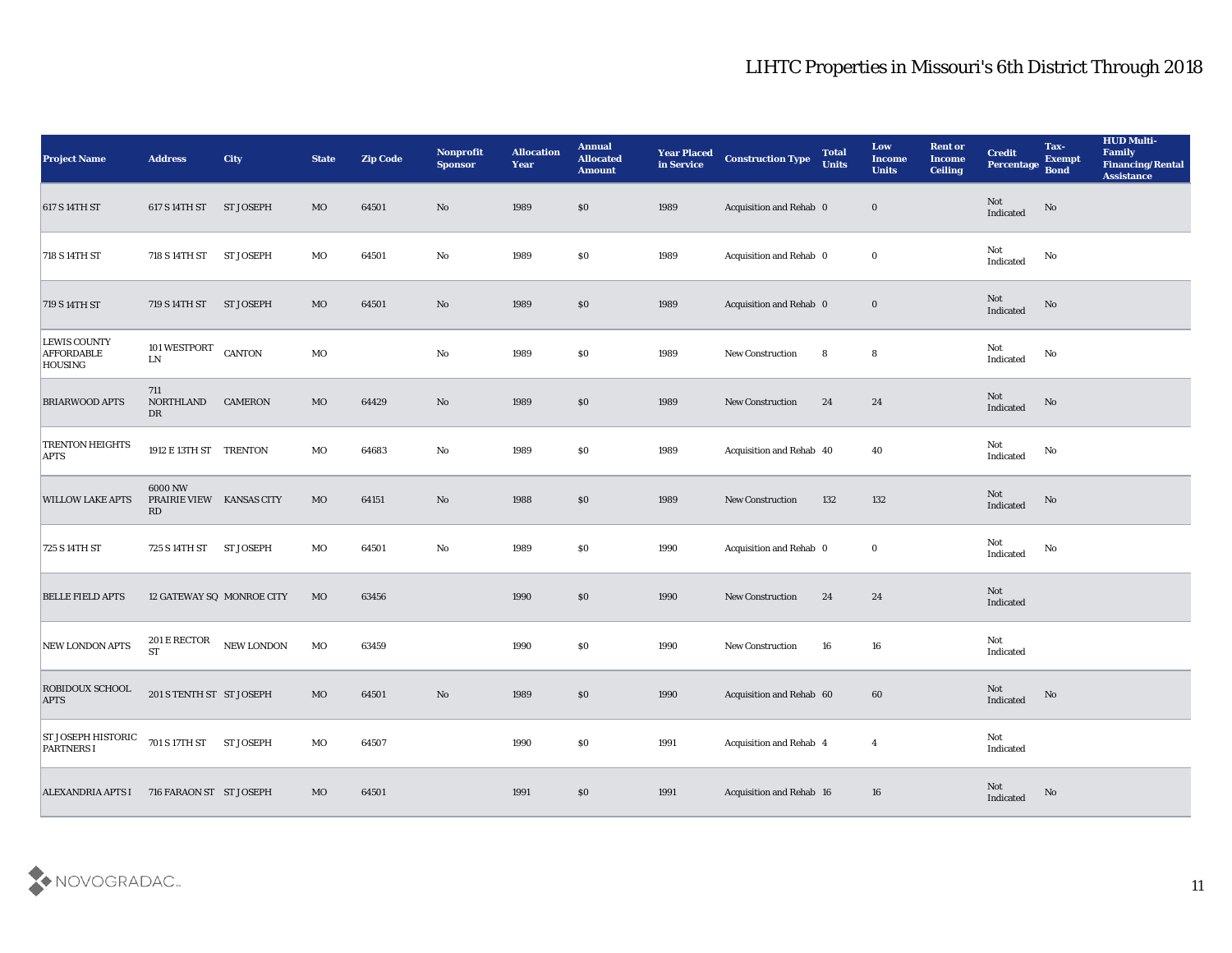| <b>Project Name</b>                                        | <b>Address</b>                                  | City                      | <b>State</b> | <b>Zip Code</b> | Nonprofit<br><b>Sponsor</b> | <b>Allocation</b><br><b>Year</b> | <b>Annual</b><br><b>Allocated</b><br><b>Amount</b> | <b>Year Placed</b><br>in Service | <b>Construction Type</b> | <b>Total</b><br><b>Units</b> | Low<br><b>Income</b><br><b>Units</b> | <b>Rent or</b><br><b>Income</b><br><b>Ceiling</b> | <b>Credit</b><br>Percentage                       | Tax-<br><b>Exempt</b><br><b>Bond</b> | <b>HUD Multi-</b><br>Family<br><b>Financing/Rental</b><br><b>Assistance</b> |
|------------------------------------------------------------|-------------------------------------------------|---------------------------|--------------|-----------------|-----------------------------|----------------------------------|----------------------------------------------------|----------------------------------|--------------------------|------------------------------|--------------------------------------|---------------------------------------------------|---------------------------------------------------|--------------------------------------|-----------------------------------------------------------------------------|
| 617 S 14TH ST                                              | 617 S 14TH ST ST JOSEPH                         |                           | MO           | 64501           | No                          | 1989                             | \$0                                                | 1989                             | Acquisition and Rehab 0  |                              | $\bf{0}$                             |                                                   | Not<br>$\label{lem:indicated} \textbf{Indicated}$ | No                                   |                                                                             |
| 718 S 14TH ST                                              | 718 S 14TH ST                                   | <b>ST JOSEPH</b>          | МO           | 64501           | No                          | 1989                             | $\$0$                                              | 1989                             | Acquisition and Rehab 0  |                              | $\bf{0}$                             |                                                   | Not<br>Indicated                                  | No                                   |                                                                             |
| 719 S 14TH ST                                              | 719 S 14TH ST                                   | <b>ST JOSEPH</b>          | MO           | 64501           | No                          | 1989                             | \$0                                                | 1989                             | Acquisition and Rehab 0  |                              | $\bf{0}$                             |                                                   | Not<br>Indicated                                  | No                                   |                                                                             |
| <b>LEWIS COUNTY</b><br><b>AFFORDABLE</b><br><b>HOUSING</b> | 101 WESTPORT<br>${\rm LN}$                      | <b>CANTON</b>             | MO           |                 | $\mathbf{No}$               | 1989                             | $\$0$                                              | 1989                             | New Construction         | 8                            | 8                                    |                                                   | Not<br>$\operatorname{Indicated}$                 | No                                   |                                                                             |
| <b>BRIARWOOD APTS</b>                                      | 711<br>NORTHLAND<br>DR                          | <b>CAMERON</b>            | MO           | 64429           | $\mathbf{N}\mathbf{o}$      | 1989                             | \$0                                                | 1989                             | <b>New Construction</b>  | 24                           | 24                                   |                                                   | Not<br>Indicated                                  | No                                   |                                                                             |
| <b>TRENTON HEIGHTS</b><br><b>APTS</b>                      | 1912 E 13TH ST TRENTON                          |                           | MO           | 64683           | No                          | 1989                             | \$0                                                | 1989                             | Acquisition and Rehab 40 |                              | 40                                   |                                                   | Not<br>Indicated                                  | No                                   |                                                                             |
| <b>WILLOW LAKE APTS</b>                                    | 6000 NW<br>PRAIRIE VIEW KANSAS CITY<br>RD       |                           | MO           | 64151           | No                          | 1988                             | \$0                                                | 1989                             | New Construction         | 132                          | 132                                  |                                                   | Not<br>Indicated                                  | No                                   |                                                                             |
| 725 S 14TH ST                                              | 725 S 14TH ST                                   | <b>ST JOSEPH</b>          | MO           | 64501           | $\mathbf{No}$               | 1989                             | \$0                                                | 1990                             | Acquisition and Rehab 0  |                              | $\bf{0}$                             |                                                   | Not<br>Indicated                                  | No                                   |                                                                             |
| <b>BELLE FIELD APTS</b>                                    |                                                 | 12 GATEWAY SQ MONROE CITY | MO           | 63456           |                             | 1990                             | \$0                                                | 1990                             | New Construction         | 24                           | 24                                   |                                                   | Not<br>Indicated                                  |                                      |                                                                             |
| NEW LONDON APTS                                            | $201\,\mathrm{E}\,\mathrm{RECTOR}$<br><b>ST</b> | NEW LONDON                | MO           | 63459           |                             | 1990                             | $\$0$                                              | 1990                             | <b>New Construction</b>  | 16                           | 16                                   |                                                   | Not<br>Indicated                                  |                                      |                                                                             |
| <b>ROBIDOUX SCHOOL</b><br><b>APTS</b>                      | 201 S TENTH ST ST JOSEPH                        |                           | MO           | 64501           | No                          | 1989                             | \$0                                                | 1990                             | Acquisition and Rehab 60 |                              | 60                                   |                                                   | Not<br>Indicated                                  | No                                   |                                                                             |
| ST JOSEPH HISTORIC<br><b>PARTNERS I</b>                    | 701 S 17TH ST ST JOSEPH                         |                           | $_{\rm MO}$  | 64507           |                             | 1990                             | $\$0$                                              | 1991                             | Acquisition and Rehab 4  |                              | $\overline{4}$                       |                                                   | Not<br>Indicated                                  |                                      |                                                                             |
| ALEXANDRIA APTS I 716 FARAON ST ST JOSEPH                  |                                                 |                           | MO           | 64501           |                             | 1991                             | $\$0$                                              | 1991                             | Acquisition and Rehab 16 |                              | 16                                   |                                                   | Not<br>Indicated                                  | No                                   |                                                                             |

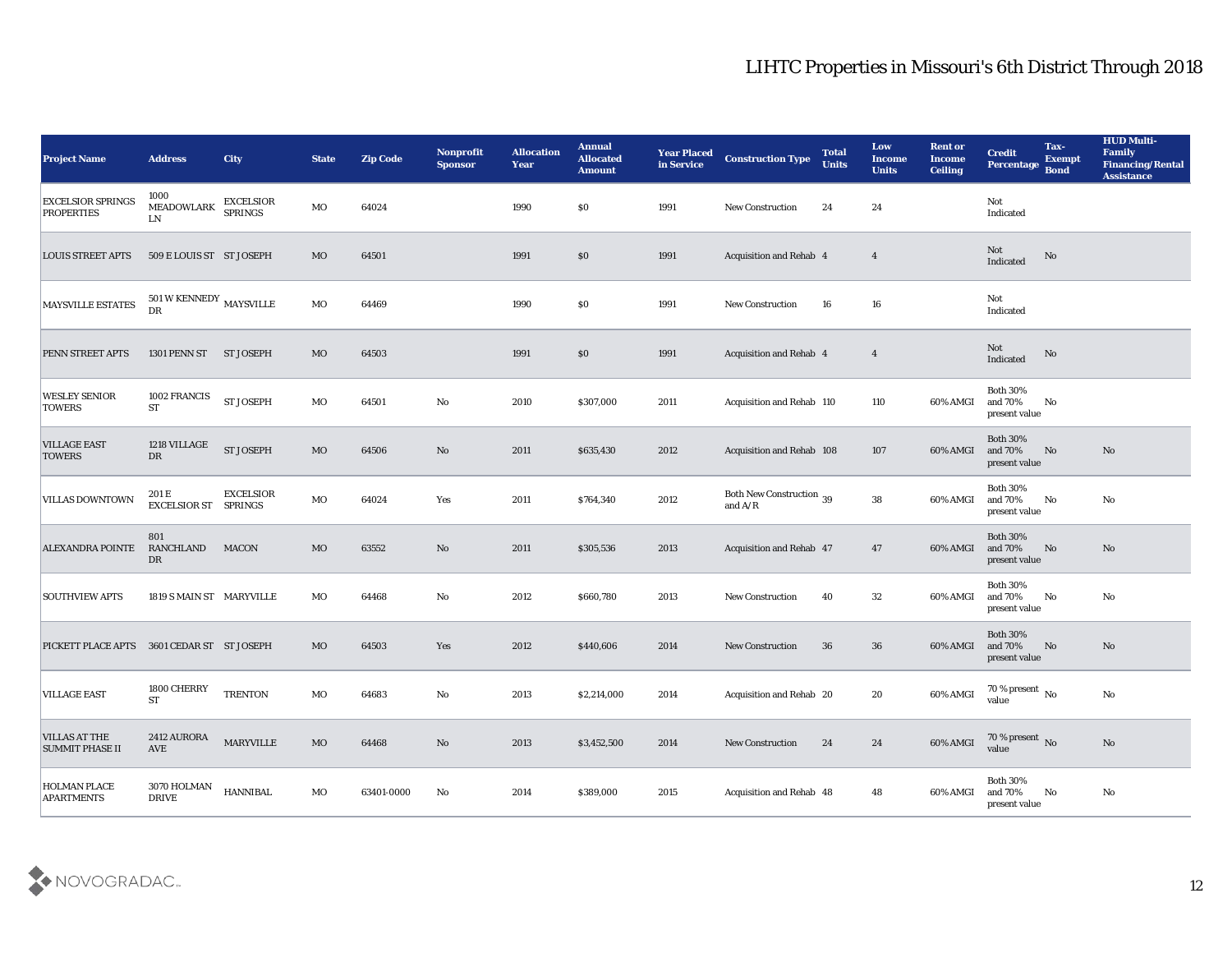| <b>Project Name</b>                            | <b>Address</b>                                     | <b>City</b>                        | <b>State</b> | <b>Zip Code</b> | Nonprofit<br><b>Sponsor</b> | <b>Allocation</b><br><b>Year</b> | <b>Annual</b><br><b>Allocated</b><br><b>Amount</b> | <b>Year Placed</b><br>in Service | <b>Construction Type</b>              | <b>Total</b><br><b>Units</b> | Low<br><b>Income</b><br><b>Units</b> | <b>Rent or</b><br>Income<br><b>Ceiling</b> | <b>Credit</b><br>Percentage Bond                    | Tax-<br><b>Exempt</b> | <b>HUD Multi-</b><br>Family<br><b>Financing/Rental</b><br><b>Assistance</b> |
|------------------------------------------------|----------------------------------------------------|------------------------------------|--------------|-----------------|-----------------------------|----------------------------------|----------------------------------------------------|----------------------------------|---------------------------------------|------------------------------|--------------------------------------|--------------------------------------------|-----------------------------------------------------|-----------------------|-----------------------------------------------------------------------------|
| <b>EXCELSIOR SPRINGS</b><br><b>PROPERTIES</b>  | 1000<br>MEADOWLARK<br>LN                           | <b>EXCELSIOR</b><br><b>SPRINGS</b> | MO           | 64024           |                             | 1990                             | $\$0$                                              | 1991                             | <b>New Construction</b>               | 24                           | 24                                   |                                            | Not<br>Indicated                                    |                       |                                                                             |
| <b>LOUIS STREET APTS</b>                       | 509 E LOUIS ST ST JOSEPH                           |                                    | MO           | 64501           |                             | 1991                             | $\$0$                                              | 1991                             | <b>Acquisition and Rehab 4</b>        |                              | $\overline{4}$                       |                                            | Not<br>Indicated                                    | No                    |                                                                             |
| <b>MAYSVILLE ESTATES</b>                       | $501\,\mathrm{W}$ KENNEDY $_{\rm MAXSVILLE}$<br>DR |                                    | MO           | 64469           |                             | 1990                             | \$0\$                                              | 1991                             | <b>New Construction</b>               | 16                           | 16                                   |                                            | Not<br>Indicated                                    |                       |                                                                             |
| PENN STREET APTS                               | 1301 PENN ST                                       | <b>ST JOSEPH</b>                   | MO           | 64503           |                             | 1991                             | $\$0$                                              | 1991                             | <b>Acquisition and Rehab 4</b>        |                              | $\overline{4}$                       |                                            | Not<br>Indicated                                    | No                    |                                                                             |
| <b>WESLEY SENIOR</b><br><b>TOWERS</b>          | 1002 FRANCIS<br><b>ST</b>                          | <b>ST JOSEPH</b>                   | MO           | 64501           | No                          | 2010                             | \$307,000                                          | 2011                             | Acquisition and Rehab 110             |                              | 110                                  | 60% AMGI                                   | <b>Both 30%</b><br>and 70%<br>present value         | No                    |                                                                             |
| <b>VILLAGE EAST</b><br><b>TOWERS</b>           | 1218 VILLAGE<br>DR                                 | ST JOSEPH                          | MO           | 64506           | No                          | 2011                             | \$635,430                                          | 2012                             | Acquisition and Rehab 108             |                              | 107                                  | 60% AMGI                                   | <b>Both 30%</b><br>and 70%<br>present value         | No                    | No                                                                          |
| <b>VILLAS DOWNTOWN</b>                         | 201 E<br><b>EXCELSIOR ST SPRINGS</b>               | <b>EXCELSIOR</b>                   | MO           | 64024           | Yes                         | 2011                             | \$764,340                                          | 2012                             | Both New Construction 39<br>and $A/R$ |                              | 38                                   | 60% AMGI                                   | <b>Both 30%</b><br>and 70%<br>present value         | No                    | No                                                                          |
| <b>ALEXANDRA POINTE</b>                        | 801<br><b>RANCHLAND</b><br>DR                      | <b>MACON</b>                       | MO           | 63552           | No                          | 2011                             | \$305,536                                          | 2013                             | Acquisition and Rehab 47              |                              | 47                                   | 60% AMGI                                   | <b>Both 30%</b><br>and 70%<br>present value         | No                    | No                                                                          |
| <b>SOUTHVIEW APTS</b>                          | 1819 S MAIN ST MARYVILLE                           |                                    | MO           | 64468           | No                          | 2012                             | \$660,780                                          | 2013                             | <b>New Construction</b>               | 40                           | 32                                   | 60% AMGI                                   | <b>Both 30%</b><br>and 70%<br>present value         | No                    | No                                                                          |
| PICKETT PLACE APTS 3601 CEDAR ST ST JOSEPH     |                                                    |                                    | MO           | 64503           | Yes                         | 2012                             | \$440,606                                          | 2014                             | <b>New Construction</b>               | 36                           | 36                                   | 60% AMGI                                   | <b>Both 30%</b><br>and 70%<br>present value         | No                    | No                                                                          |
| <b>VILLAGE EAST</b>                            | 1800 CHERRY<br><b>ST</b>                           | <b>TRENTON</b>                     | MO           | 64683           | No                          | 2013                             | \$2,214,000                                        | 2014                             | Acquisition and Rehab 20              |                              | 20                                   | 60% AMGI                                   | 70 % present $\,$ No $\,$<br>value                  |                       | No                                                                          |
| <b>VILLAS AT THE</b><br><b>SUMMIT PHASE II</b> | 2412 AURORA<br>AVE                                 | MARYVILLE                          | $_{\rm MO}$  | 64468           | $\mathbf {No}$              | 2013                             | \$3,452,500                                        | 2014                             | New Construction                      | 24                           | 24                                   | 60% AMGI                                   | $70\,\%$ present $\,$ No value                      |                       | $\rm \bf No$                                                                |
| <b>HOLMAN PLACE</b><br><b>APARTMENTS</b>       | 3070 HOLMAN<br><b>DRIVE</b>                        | <b>HANNIBAL</b>                    | MO           | 63401-0000      | $\rm No$                    | 2014                             | \$389,000                                          | 2015                             | Acquisition and Rehab 48              |                              | 48                                   | 60% AMGI                                   | <b>Both 30%</b><br>and $70\%$<br>$\,$ present value | No                    | ${\bf No}$                                                                  |

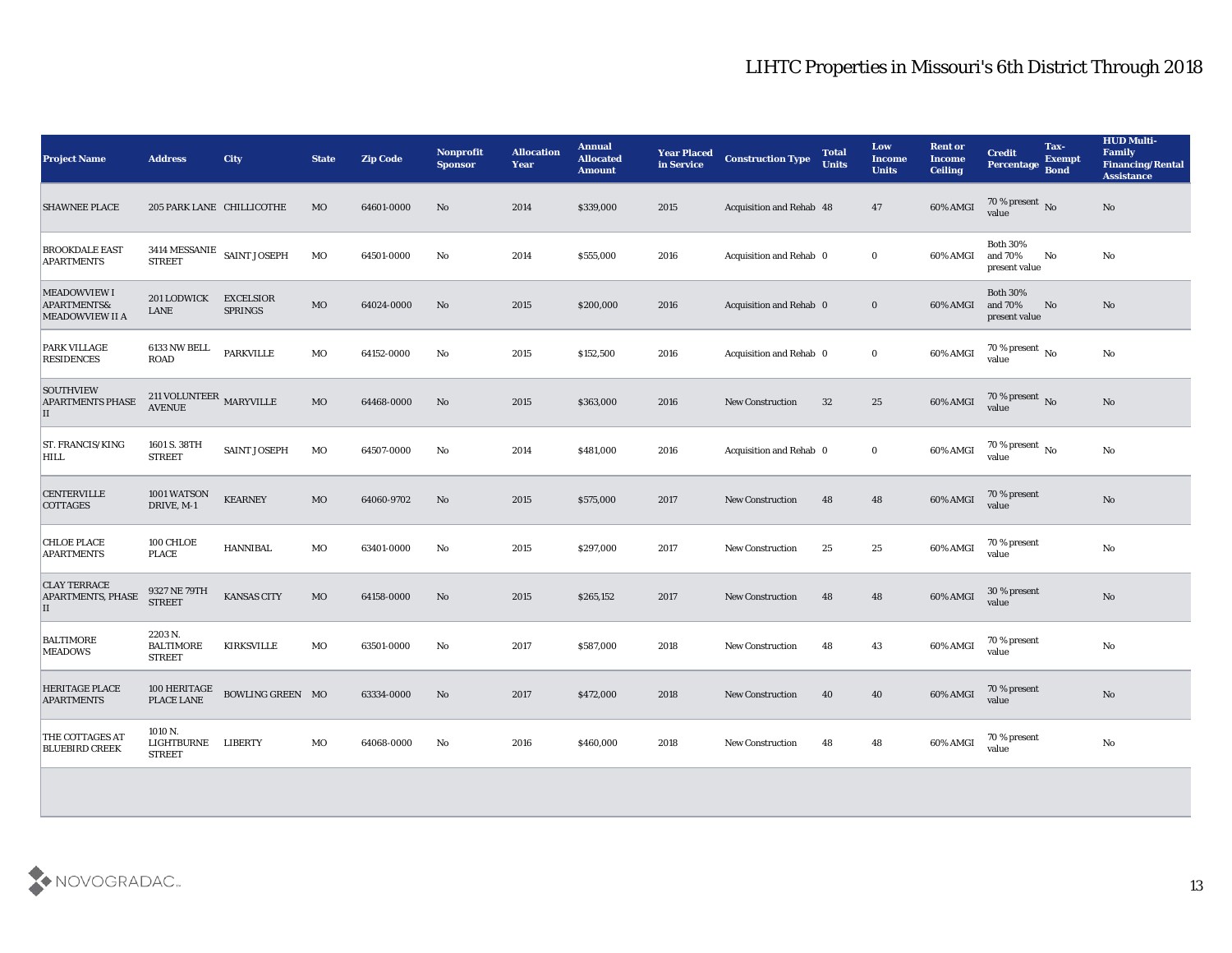| <b>Project Name</b>                                          | <b>Address</b>                                | <b>City</b>                        | <b>State</b> | Zip Code   | <b>Nonprofit</b><br><b>Sponsor</b> | <b>Allocation</b><br>Year | <b>Annual</b><br><b>Allocated</b><br><b>Amount</b> | <b>Year Placed</b><br>in Service | <b>Construction Type</b>        | <b>Total</b><br><b>Units</b> | Low<br><b>Income</b><br><b>Units</b> | <b>Rent or</b><br><b>Income</b><br><b>Ceiling</b> | Tax-<br><b>Credit</b><br><b>Exempt</b><br><b>Percentage</b><br><b>Bond</b> | <b>HUD Multi-</b><br><b>Family</b><br><b>Financing/Rental</b><br><b>Assistance</b> |
|--------------------------------------------------------------|-----------------------------------------------|------------------------------------|--------------|------------|------------------------------------|---------------------------|----------------------------------------------------|----------------------------------|---------------------------------|------------------------------|--------------------------------------|---------------------------------------------------|----------------------------------------------------------------------------|------------------------------------------------------------------------------------|
| <b>SHAWNEE PLACE</b>                                         | 205 PARK LANE CHILLICOTHE                     |                                    | <b>MO</b>    | 64601-0000 | No                                 | 2014                      | \$339,000                                          | 2015                             | <b>Acquisition and Rehab 48</b> |                              | 47                                   | 60% AMGI                                          | 70 % present No<br>value                                                   | $\mathbf{N}\mathbf{o}$                                                             |
| <b>BROOKDALE EAST</b><br><b>APARTMENTS</b>                   | <b>STREET</b>                                 | 3414 MESSANIE SAINT JOSEPH         | MO           | 64501-0000 | No                                 | 2014                      | \$555,000                                          | 2016                             | Acquisition and Rehab 0         |                              | $\bf{0}$                             | 60% AMGI                                          | <b>Both 30%</b><br>and 70%<br>No<br>present value                          | No                                                                                 |
| <b>MEADOWVIEW I</b><br>APARTMENTS&<br><b>MEADOWVIEW II A</b> | <b>201 LODWICK</b><br>LANE                    | <b>EXCELSIOR</b><br><b>SPRINGS</b> | $_{\rm MO}$  | 64024-0000 | No                                 | 2015                      | \$200,000                                          | 2016                             | Acquisition and Rehab 0         |                              | $\bf{0}$                             | 60% AMGI                                          | <b>Both 30%</b><br>and 70%<br>No<br>present value                          | No                                                                                 |
| PARK VILLAGE<br><b>RESIDENCES</b>                            | 6133 NW BELL<br><b>ROAD</b>                   | <b>PARKVILLE</b>                   | MO           | 64152-0000 | No                                 | 2015                      | \$152,500                                          | 2016                             | Acquisition and Rehab 0         |                              | $\bf{0}$                             | 60% AMGI                                          | 70 % present $\,$ No $\,$<br>value                                         | No                                                                                 |
| <b>SOUTHVIEW</b><br><b>APARTMENTS PHASE</b><br>II            | 211 VOLUNTEER $\,$ MARYVILLE<br><b>AVENUE</b> |                                    | MO           | 64468-0000 | No                                 | 2015                      | \$363,000                                          | 2016                             | New Construction                | 32                           | 25                                   | 60% AMGI                                          | 70 % present No<br>value                                                   | $\mathbf{N}\mathbf{o}$                                                             |
| <b>ST. FRANCIS/KING</b><br>HILL                              | 1601 S. 38TH<br><b>STREET</b>                 | <b>SAINT JOSEPH</b>                | MO           | 64507-0000 | No                                 | 2014                      | \$481,000                                          | 2016                             | Acquisition and Rehab 0         |                              | $\bf{0}$                             | 60% AMGI                                          | $70\,\%$ present $\,$ No value                                             | $\mathbf{N}\mathbf{o}$                                                             |
| <b>CENTERVILLE</b><br><b>COTTAGES</b>                        | 1001 WATSON<br>DRIVE, M-1                     | <b>KEARNEY</b>                     | MO           | 64060-9702 | No                                 | 2015                      | \$575,000                                          | 2017                             | New Construction                | 48                           | 48                                   | 60% AMGI                                          | 70 % present<br>value                                                      | $\mathbf{N}\mathbf{o}$                                                             |
| <b>CHLOE PLACE</b><br><b>APARTMENTS</b>                      | 100 CHLOE<br><b>PLACE</b>                     | <b>HANNIBAL</b>                    | MO           | 63401-0000 | No                                 | 2015                      | \$297,000                                          | 2017                             | New Construction                | 25                           | 25                                   | 60% AMGI                                          | 70 % present<br>value                                                      | $\mathbf{N}\mathbf{o}$                                                             |
| <b>CLAY TERRACE</b><br><b>APARTMENTS, PHASE</b><br>II        | 9327 NE 79TH<br><b>STREET</b>                 | <b>KANSAS CITY</b>                 | $_{\rm MO}$  | 64158-0000 | No                                 | 2015                      | \$265,152                                          | 2017                             | <b>New Construction</b>         | 48                           | 48                                   | 60% AMGI                                          | 30 % present<br>value                                                      | $\mathbf{N}\mathbf{o}$                                                             |
| <b>BALTIMORE</b><br><b>MEADOWS</b>                           | 2203 N.<br><b>BALTIMORE</b><br><b>STREET</b>  | <b>KIRKSVILLE</b>                  | MO           | 63501-0000 | No                                 | 2017                      | \$587,000                                          | 2018                             | New Construction                | 48                           | 43                                   | 60% AMGI                                          | 70 % present<br>value                                                      | $\mathbf{N}\mathbf{o}$                                                             |
| <b>HERITAGE PLACE</b><br><b>APARTMENTS</b>                   | 100 HERITAGE<br>PLACE LANE                    | BOWLING GREEN MO                   |              | 63334-0000 | No                                 | 2017                      | \$472,000                                          | 2018                             | <b>New Construction</b>         | 40                           | 40                                   | 60% AMGI                                          | 70 % present<br>value                                                      | No                                                                                 |
| THE COTTAGES AT<br><b>BLUEBIRD CREEK</b>                     | 1010 N.<br>LIGHTBURNE<br><b>STREET</b>        | <b>LIBERTY</b>                     | MO           | 64068-0000 | No                                 | 2016                      | \$460,000                                          | 2018                             | <b>New Construction</b>         | 48                           | 48                                   | 60% AMGI                                          | 70 % present<br>value                                                      | No                                                                                 |
|                                                              |                                               |                                    |              |            |                                    |                           |                                                    |                                  |                                 |                              |                                      |                                                   |                                                                            |                                                                                    |